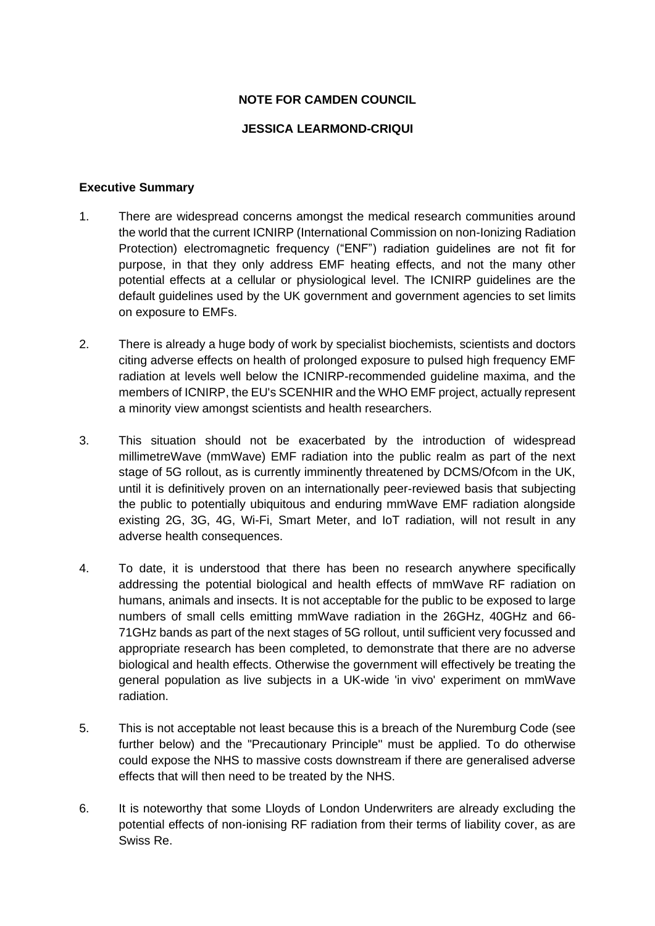## **NOTE FOR CAMDEN COUNCIL**

## **JESSICA LEARMOND-CRIQUI**

#### **Executive Summary**

- 1. There are widespread concerns amongst the medical research communities around the world that the current ICNIRP (International Commission on non-Ionizing Radiation Protection) electromagnetic frequency ("ENF") radiation guidelines are not fit for purpose, in that they only address EMF heating effects, and not the many other potential effects at a cellular or physiological level. The ICNIRP guidelines are the default guidelines used by the UK government and government agencies to set limits on exposure to EMFs.
- 2. There is already a huge body of work by specialist biochemists, scientists and doctors citing adverse effects on health of prolonged exposure to pulsed high frequency EMF radiation at levels well below the ICNIRP-recommended guideline maxima, and the members of ICNIRP, the EU's SCENHIR and the WHO EMF project, actually represent a minority view amongst scientists and health researchers.
- 3. This situation should not be exacerbated by the introduction of widespread millimetreWave (mmWave) EMF radiation into the public realm as part of the next stage of 5G rollout, as is currently imminently threatened by DCMS/Ofcom in the UK, until it is definitively proven on an internationally peer-reviewed basis that subjecting the public to potentially ubiquitous and enduring mmWave EMF radiation alongside existing 2G, 3G, 4G, Wi-Fi, Smart Meter, and IoT radiation, will not result in any adverse health consequences.
- 4. To date, it is understood that there has been no research anywhere specifically addressing the potential biological and health effects of mmWave RF radiation on humans, animals and insects. It is not acceptable for the public to be exposed to large numbers of small cells emitting mmWave radiation in the 26GHz, 40GHz and 66- 71GHz bands as part of the next stages of 5G rollout, until sufficient very focussed and appropriate research has been completed, to demonstrate that there are no adverse biological and health effects. Otherwise the government will effectively be treating the general population as live subjects in a UK-wide 'in vivo' experiment on mmWave radiation.
- 5. This is not acceptable not least because this is a breach of the Nuremburg Code (see further below) and the "Precautionary Principle" must be applied. To do otherwise could expose the NHS to massive costs downstream if there are generalised adverse effects that will then need to be treated by the NHS.
- 6. It is noteworthy that some Lloyds of London Underwriters are already excluding the potential effects of non-ionising RF radiation from their terms of liability cover, as are Swiss Re.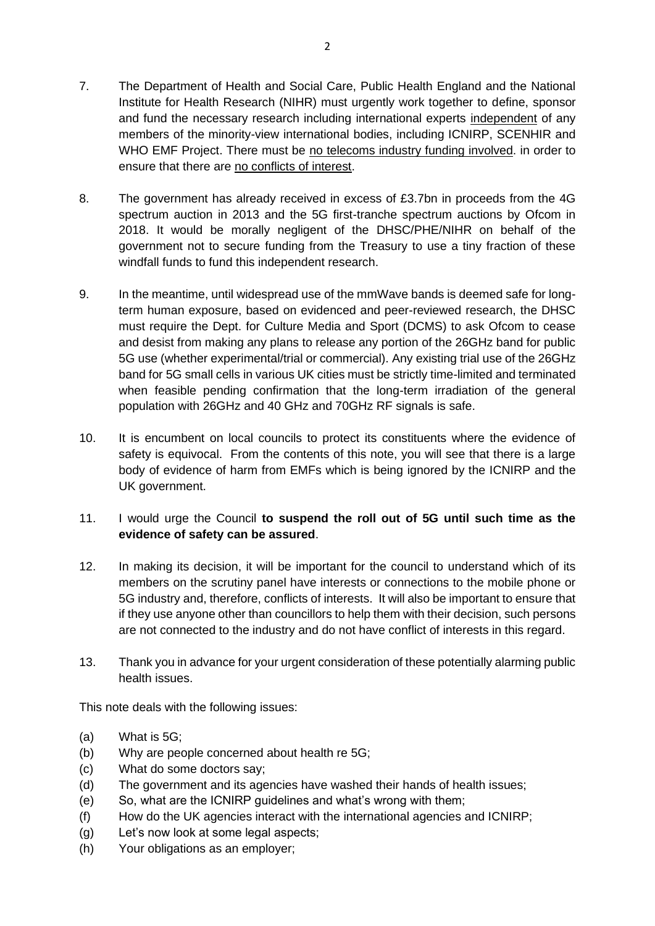- 7. The Department of Health and Social Care, Public Health England and the National Institute for Health Research (NIHR) must urgently work together to define, sponsor and fund the necessary research including international experts independent of any members of the minority-view international bodies, including ICNIRP, SCENHIR and WHO EMF Project. There must be no telecoms industry funding involved. in order to ensure that there are no conflicts of interest.
- 8. The government has already received in excess of £3.7bn in proceeds from the 4G spectrum auction in 2013 and the 5G first-tranche spectrum auctions by Ofcom in 2018. It would be morally negligent of the DHSC/PHE/NIHR on behalf of the government not to secure funding from the Treasury to use a tiny fraction of these windfall funds to fund this independent research.
- 9. In the meantime, until widespread use of the mmWave bands is deemed safe for longterm human exposure, based on evidenced and peer-reviewed research, the DHSC must require the Dept. for Culture Media and Sport (DCMS) to ask Ofcom to cease and desist from making any plans to release any portion of the 26GHz band for public 5G use (whether experimental/trial or commercial). Any existing trial use of the 26GHz band for 5G small cells in various UK cities must be strictly time-limited and terminated when feasible pending confirmation that the long-term irradiation of the general population with 26GHz and 40 GHz and 70GHz RF signals is safe.
- 10. It is encumbent on local councils to protect its constituents where the evidence of safety is equivocal. From the contents of this note, you will see that there is a large body of evidence of harm from EMFs which is being ignored by the ICNIRP and the UK government.
- 11. I would urge the Council **to suspend the roll out of 5G until such time as the evidence of safety can be assured**.
- 12. In making its decision, it will be important for the council to understand which of its members on the scrutiny panel have interests or connections to the mobile phone or 5G industry and, therefore, conflicts of interests. It will also be important to ensure that if they use anyone other than councillors to help them with their decision, such persons are not connected to the industry and do not have conflict of interests in this regard.
- 13. Thank you in advance for your urgent consideration of these potentially alarming public health issues.

This note deals with the following issues:

- (a) What is 5G;
- (b) Why are people concerned about health re 5G;
- (c) What do some doctors say;
- (d) The government and its agencies have washed their hands of health issues;
- (e) So, what are the ICNIRP guidelines and what's wrong with them;
- (f) How do the UK agencies interact with the international agencies and ICNIRP;
- (g) Let's now look at some legal aspects;
- (h) Your obligations as an employer;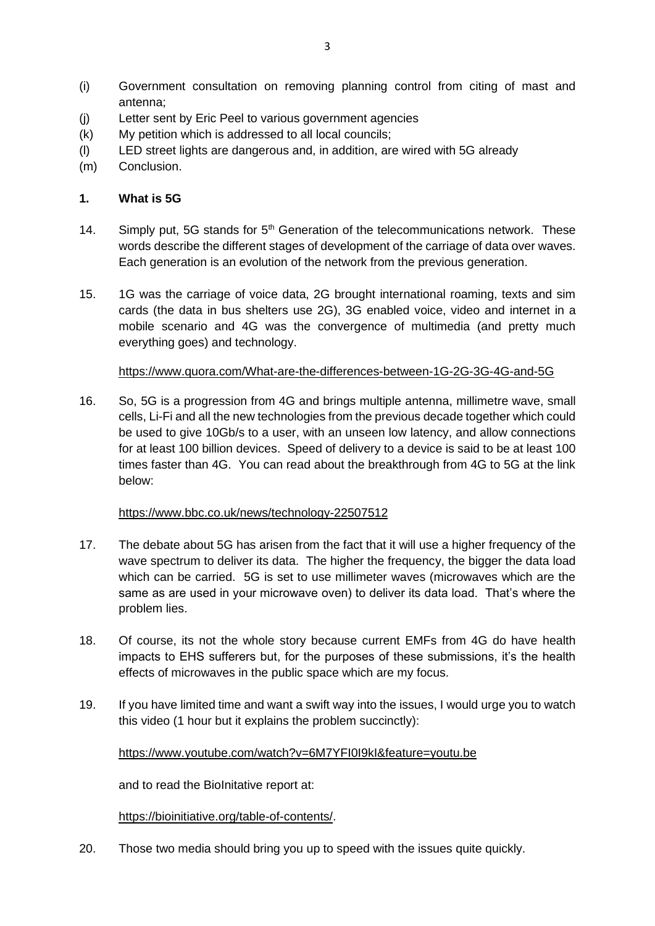- (i) Government consultation on removing planning control from citing of mast and antenna;
- (j) Letter sent by Eric Peel to various government agencies
- (k) My petition which is addressed to all local councils;
- (l) LED street lights are dangerous and, in addition, are wired with 5G already
- (m) Conclusion.

## **1. What is 5G**

- 14. Simply put, 5G stands for  $5<sup>th</sup>$  Generation of the telecommunications network. These words describe the different stages of development of the carriage of data over waves. Each generation is an evolution of the network from the previous generation.
- 15. 1G was the carriage of voice data, 2G brought international roaming, texts and sim cards (the data in bus shelters use 2G), 3G enabled voice, video and internet in a mobile scenario and 4G was the convergence of multimedia (and pretty much everything goes) and technology.

## <https://www.quora.com/What-are-the-differences-between-1G-2G-3G-4G-and-5G>

16. So, 5G is a progression from 4G and brings multiple antenna, millimetre wave, small cells, Li-Fi and all the new technologies from the previous decade together which could be used to give 10Gb/s to a user, with an unseen low latency, and allow connections for at least 100 billion devices. Speed of delivery to a device is said to be at least 100 times faster than 4G. You can read about the breakthrough from 4G to 5G at the link below:

## <https://www.bbc.co.uk/news/technology-22507512>

- 17. The debate about 5G has arisen from the fact that it will use a higher frequency of the wave spectrum to deliver its data. The higher the frequency, the bigger the data load which can be carried. 5G is set to use millimeter waves (microwaves which are the same as are used in your microwave oven) to deliver its data load. That's where the problem lies.
- 18. Of course, its not the whole story because current EMFs from 4G do have health impacts to EHS sufferers but, for the purposes of these submissions, it's the health effects of microwaves in the public space which are my focus.
- 19. If you have limited time and want a swift way into the issues, I would urge you to watch this video (1 hour but it explains the problem succinctly):

## [https://www.youtube.com/watch?v=6M7YFI0I9kI&feature=youtu.be](https://lawlcs.us8.list-manage.com/track/click?u=d785428f302ac5c562ad552a1&id=ae55c3058c&e=9b6143a670)

and to read the BioInitative report at:

[https://bioinitiative.org/table-of-contents/.](https://bioinitiative.org/table-of-contents/)

20. Those two media should bring you up to speed with the issues quite quickly.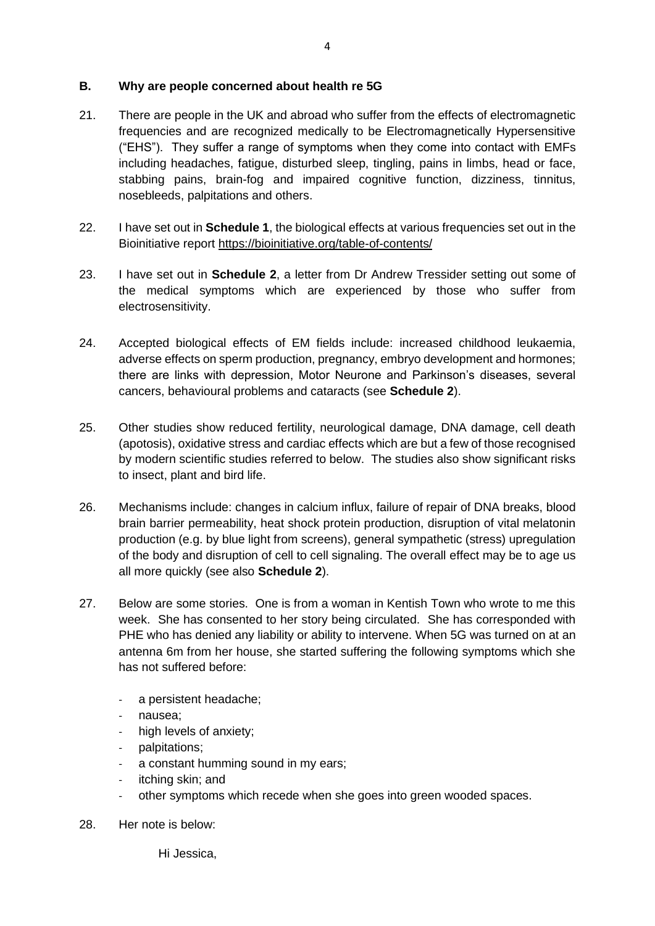## **B. Why are people concerned about health re 5G**

- 21. There are people in the UK and abroad who suffer from the effects of electromagnetic frequencies and are recognized medically to be Electromagnetically Hypersensitive ("EHS"). They suffer a range of symptoms when they come into contact with EMFs including headaches, fatigue, disturbed sleep, tingling, pains in limbs, head or face, stabbing pains, brain-fog and impaired cognitive function, dizziness, tinnitus, nosebleeds, palpitations and others.
- 22. I have set out in **Schedule 1**, the biological effects at various frequencies set out in the Bioinitiative report<https://bioinitiative.org/table-of-contents/>
- 23. I have set out in **Schedule 2**, a letter from Dr Andrew Tressider setting out some of the medical symptoms which are experienced by those who suffer from electrosensitivity.
- 24. Accepted biological effects of EM fields include: increased childhood leukaemia, adverse effects on sperm production, pregnancy, embryo development and hormones; there are links with depression, Motor Neurone and Parkinson's diseases, several cancers, behavioural problems and cataracts (see **Schedule 2**).
- 25. Other studies show reduced fertility, neurological damage, DNA damage, cell death (apotosis), oxidative stress and cardiac effects which are but a few of those recognised by modern scientific studies referred to below. The studies also show significant risks to insect, plant and bird life.
- 26. Mechanisms include: changes in calcium influx, failure of repair of DNA breaks, blood brain barrier permeability, heat shock protein production, disruption of vital melatonin production (e.g. by blue light from screens), general sympathetic (stress) upregulation of the body and disruption of cell to cell signaling. The overall effect may be to age us all more quickly (see also **Schedule 2**).
- 27. Below are some stories. One is from a woman in Kentish Town who wrote to me this week. She has consented to her story being circulated. She has corresponded with PHE who has denied any liability or ability to intervene. When 5G was turned on at an antenna 6m from her house, she started suffering the following symptoms which she has not suffered before:
	- a persistent headache;
	- nausea;
	- high levels of anxiety;
	- palpitations;
	- a constant humming sound in my ears;
	- itching skin; and
	- other symptoms which recede when she goes into green wooded spaces.
- 28. Her note is below:

Hi Jessica,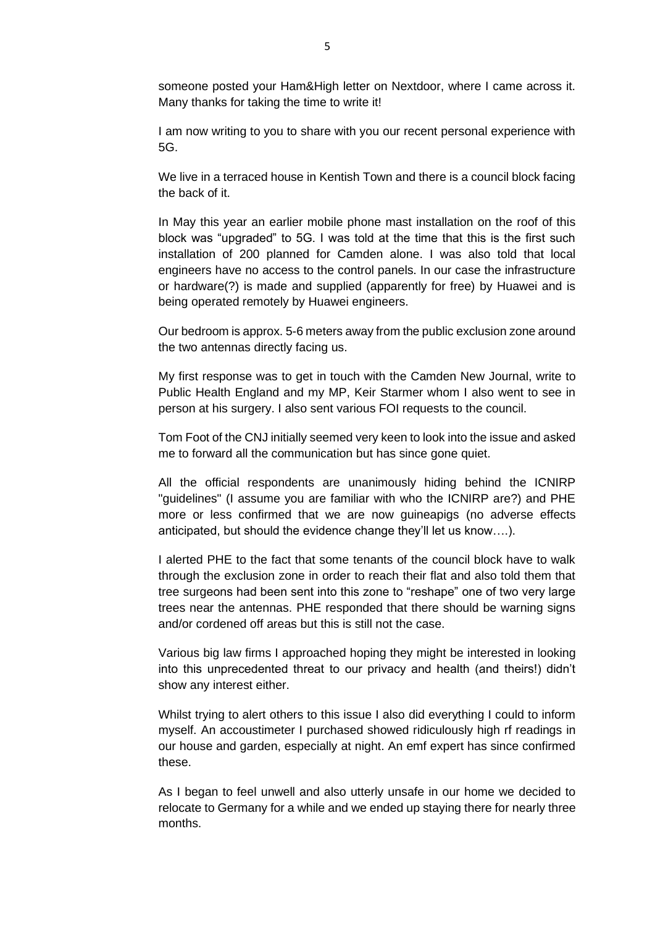someone posted your Ham&High letter on Nextdoor, where I came across it. Many thanks for taking the time to write it!

I am now writing to you to share with you our recent personal experience with 5G.

We live in a terraced house in Kentish Town and there is a council block facing the back of it.

In May this year an earlier mobile phone mast installation on the roof of this block was "upgraded" to 5G. I was told at the time that this is the first such installation of 200 planned for Camden alone. I was also told that local engineers have no access to the control panels. In our case the infrastructure or hardware(?) is made and supplied (apparently for free) by Huawei and is being operated remotely by Huawei engineers.

Our bedroom is approx. 5-6 meters away from the public exclusion zone around the two antennas directly facing us.

My first response was to get in touch with the Camden New Journal, write to Public Health England and my MP, Keir Starmer whom I also went to see in person at his surgery. I also sent various FOI requests to the council.

Tom Foot of the CNJ initially seemed very keen to look into the issue and asked me to forward all the communication but has since gone quiet.

All the official respondents are unanimously hiding behind the ICNIRP "guidelines" (I assume you are familiar with who the ICNIRP are?) and PHE more or less confirmed that we are now guineapigs (no adverse effects anticipated, but should the evidence change they'll let us know….).

I alerted PHE to the fact that some tenants of the council block have to walk through the exclusion zone in order to reach their flat and also told them that tree surgeons had been sent into this zone to "reshape" one of two very large trees near the antennas. PHE responded that there should be warning signs and/or cordened off areas but this is still not the case.

Various big law firms I approached hoping they might be interested in looking into this unprecedented threat to our privacy and health (and theirs!) didn't show any interest either.

Whilst trying to alert others to this issue I also did everything I could to inform myself. An accoustimeter I purchased showed ridiculously high rf readings in our house and garden, especially at night. An emf expert has since confirmed these.

As I began to feel unwell and also utterly unsafe in our home we decided to relocate to Germany for a while and we ended up staying there for nearly three months.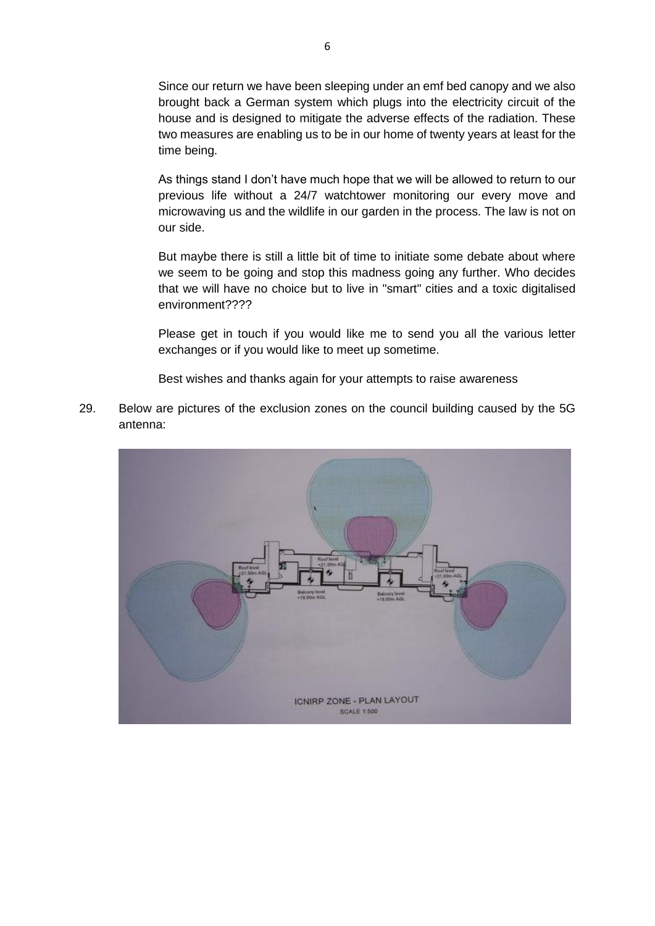Since our return we have been sleeping under an emf bed canopy and we also brought back a German system which plugs into the electricity circuit of the house and is designed to mitigate the adverse effects of the radiation. These two measures are enabling us to be in our home of twenty years at least for the time being.

As things stand I don't have much hope that we will be allowed to return to our previous life without a 24/7 watchtower monitoring our every move and microwaving us and the wildlife in our garden in the process. The law is not on our side.

But maybe there is still a little bit of time to initiate some debate about where we seem to be going and stop this madness going any further. Who decides that we will have no choice but to live in "smart" cities and a toxic digitalised environment????

Please get in touch if you would like me to send you all the various letter exchanges or if you would like to meet up sometime.

Best wishes and thanks again for your attempts to raise awareness

29. Below are pictures of the exclusion zones on the council building caused by the 5G antenna:

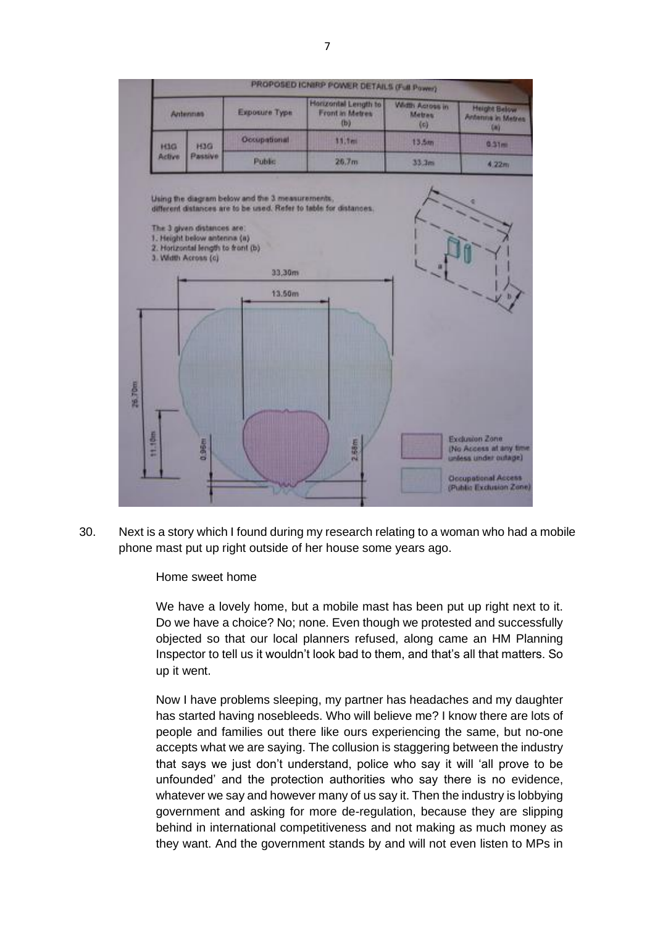

30. Next is a story which I found during my research relating to a woman who had a mobile phone mast put up right outside of her house some years ago.

Home sweet home

We have a lovely home, but a mobile mast has been put up right next to it. Do we have a choice? No; none. Even though we protested and successfully objected so that our local planners refused, along came an HM Planning Inspector to tell us it wouldn't look bad to them, and that's all that matters. So up it went.

Now I have problems sleeping, my partner has headaches and my daughter has started having nosebleeds. Who will believe me? I know there are lots of people and families out there like ours experiencing the same, but no-one accepts what we are saying. The collusion is staggering between the industry that says we just don't understand, police who say it will 'all prove to be unfounded' and the protection authorities who say there is no evidence, whatever we say and however many of us say it. Then the industry is lobbying government and asking for more de-regulation, because they are slipping behind in international competitiveness and not making as much money as they want. And the government stands by and will not even listen to MPs in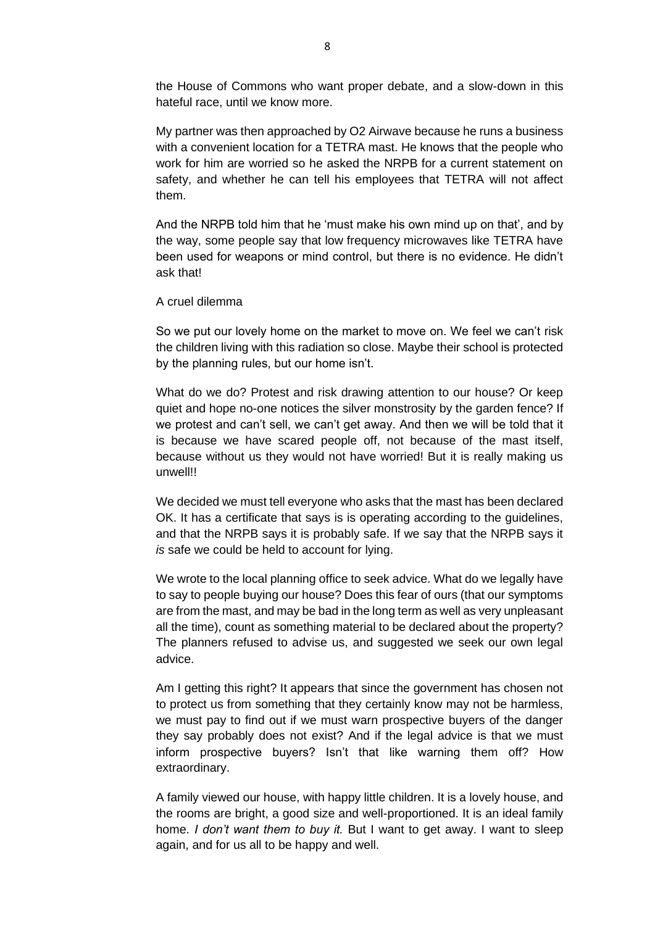the House of Commons who want proper debate, and a slow-down in this hateful race, until we know more.

My partner was then approached by O2 Airwave because he runs a business with a convenient location for a TETRA mast. He knows that the people who work for him are worried so he asked the NRPB for a current statement on safety, and whether he can tell his employees that TETRA will not affect them.

And the NRPB told him that he 'must make his own mind up on that', and by the way, some people say that low frequency microwaves like TETRA have been used for weapons or mind control, but there is no evidence. He didn't ask that!

A cruel dilemma

So we put our lovely home on the market to move on. We feel we can't risk the children living with this radiation so close. Maybe their school is protected by the planning rules, but our home isn't.

What do we do? Protest and risk drawing attention to our house? Or keep quiet and hope no-one notices the silver monstrosity by the garden fence? If we protest and can't sell, we can't get away. And then we will be told that it is because we have scared people off, not because of the mast itself, because without us they would not have worried! But it is really making us unwell!!

We decided we must tell everyone who asks that the mast has been declared OK. It has a certificate that says is is operating according to the guidelines, and that the NRPB says it is probably safe. If we say that the NRPB says it *is* safe we could be held to account for lying.

We wrote to the local planning office to seek advice. What do we legally have to say to people buying our house? Does this fear of ours (that our symptoms are from the mast, and may be bad in the long term as well as very unpleasant all the time), count as something material to be declared about the property? The planners refused to advise us, and suggested we seek our own legal advice.

Am I getting this right? It appears that since the government has chosen not to protect us from something that they certainly know may not be harmless, we must pay to find out if we must warn prospective buyers of the danger they say probably does not exist? And if the legal advice is that we must inform prospective buyers? Isn't that like warning them off? How extraordinary.

A family viewed our house, with happy little children. It is a lovely house, and the rooms are bright, a good size and well-proportioned. It is an ideal family home. *I don't want them to buy it.* But I want to get away. I want to sleep again, and for us all to be happy and well.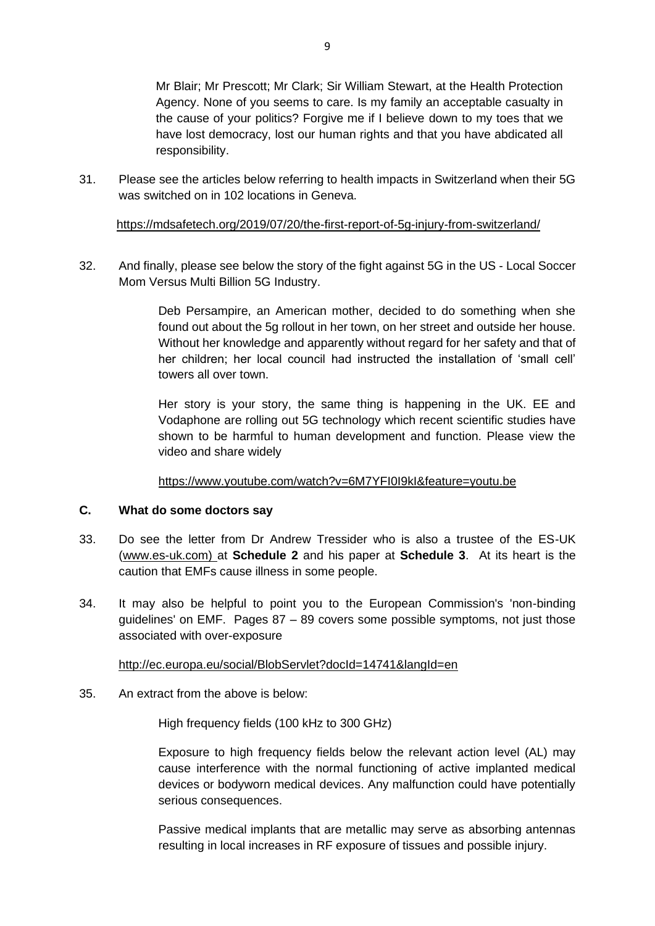Mr Blair; Mr Prescott; Mr Clark; Sir William Stewart, at the Health Protection Agency. None of you seems to care. Is my family an acceptable casualty in the cause of your politics? Forgive me if I believe down to my toes that we have lost democracy, lost our human rights and that you have abdicated all responsibility.

31. Please see the articles below referring to health impacts in Switzerland when their 5G was switched on in 102 locations in Geneva.

<https://mdsafetech.org/2019/07/20/the-first-report-of-5g-injury-from-switzerland/>

32. And finally, please see below the story of the fight against 5G in the US - Local Soccer Mom Versus Multi Billion 5G Industry.

> Deb Persampire, an American mother, decided to do something when she found out about the 5g rollout in her town, on her street and outside her house. Without her knowledge and apparently without regard for her safety and that of her children; her local council had instructed the installation of 'small cell' towers all over town.

> Her story is your story, the same thing is happening in the UK. EE and Vodaphone are rolling out 5G technology which recent scientific studies have shown to be harmful to human development and function. Please view the video and share widely

## <https://www.youtube.com/watch?v=6M7YFI0I9kI&feature=youtu.be>

#### **C. What do some doctors say**

- 33. Do see the letter from Dr Andrew Tressider who is also a trustee of the ES-UK [\(www.es-uk.com\)](http://www.es-uk.com/) at **Schedule 2** and his paper at **Schedule 3**. At its heart is the caution that EMFs cause illness in some people.
- 34. It may also be helpful to point you to the European Commission's 'non-binding guidelines' on EMF. Pages 87 – 89 covers some possible symptoms, not just those associated with over-exposure

#### <http://ec.europa.eu/social/BlobServlet?docId=14741&langId=en>

35. An extract from the above is below:

High frequency fields (100 kHz to 300 GHz)

Exposure to high frequency fields below the relevant action level (AL) may cause interference with the normal functioning of active implanted medical devices or bodyworn medical devices. Any malfunction could have potentially serious consequences.

Passive medical implants that are metallic may serve as absorbing antennas resulting in local increases in RF exposure of tissues and possible injury.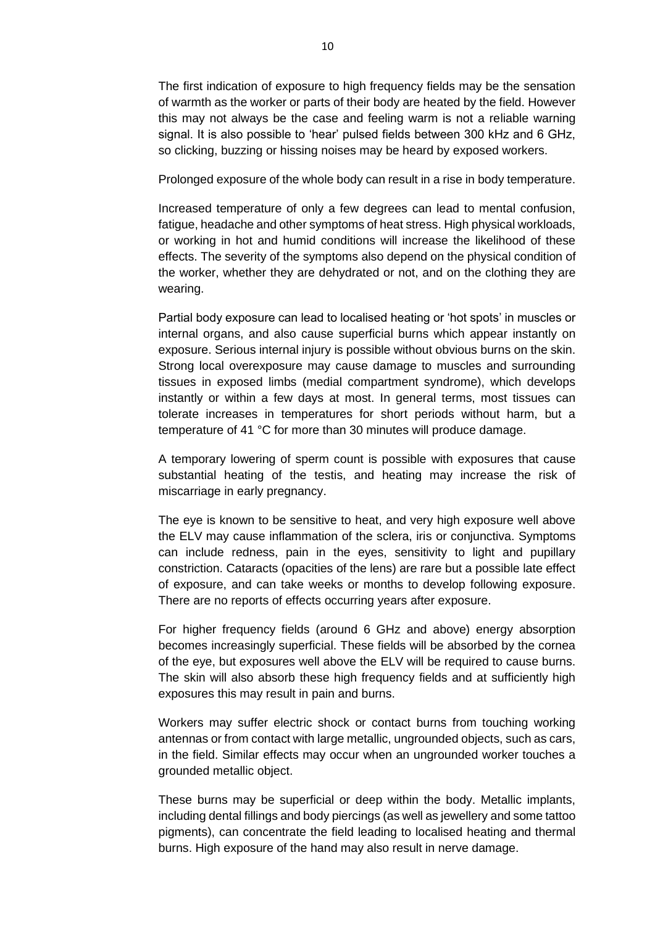The first indication of exposure to high frequency fields may be the sensation of warmth as the worker or parts of their body are heated by the field. However this may not always be the case and feeling warm is not a reliable warning signal. It is also possible to 'hear' pulsed fields between 300 kHz and 6 GHz, so clicking, buzzing or hissing noises may be heard by exposed workers.

Prolonged exposure of the whole body can result in a rise in body temperature.

Increased temperature of only a few degrees can lead to mental confusion, fatigue, headache and other symptoms of heat stress. High physical workloads, or working in hot and humid conditions will increase the likelihood of these effects. The severity of the symptoms also depend on the physical condition of the worker, whether they are dehydrated or not, and on the clothing they are wearing.

Partial body exposure can lead to localised heating or 'hot spots' in muscles or internal organs, and also cause superficial burns which appear instantly on exposure. Serious internal injury is possible without obvious burns on the skin. Strong local overexposure may cause damage to muscles and surrounding tissues in exposed limbs (medial compartment syndrome), which develops instantly or within a few days at most. In general terms, most tissues can tolerate increases in temperatures for short periods without harm, but a temperature of 41 °C for more than 30 minutes will produce damage.

A temporary lowering of sperm count is possible with exposures that cause substantial heating of the testis, and heating may increase the risk of miscarriage in early pregnancy.

The eye is known to be sensitive to heat, and very high exposure well above the ELV may cause inflammation of the sclera, iris or conjunctiva. Symptoms can include redness, pain in the eyes, sensitivity to light and pupillary constriction. Cataracts (opacities of the lens) are rare but a possible late effect of exposure, and can take weeks or months to develop following exposure. There are no reports of effects occurring years after exposure.

For higher frequency fields (around 6 GHz and above) energy absorption becomes increasingly superficial. These fields will be absorbed by the cornea of the eye, but exposures well above the ELV will be required to cause burns. The skin will also absorb these high frequency fields and at sufficiently high exposures this may result in pain and burns.

Workers may suffer electric shock or contact burns from touching working antennas or from contact with large metallic, ungrounded objects, such as cars, in the field. Similar effects may occur when an ungrounded worker touches a grounded metallic object.

These burns may be superficial or deep within the body. Metallic implants, including dental fillings and body piercings (as well as jewellery and some tattoo pigments), can concentrate the field leading to localised heating and thermal burns. High exposure of the hand may also result in nerve damage.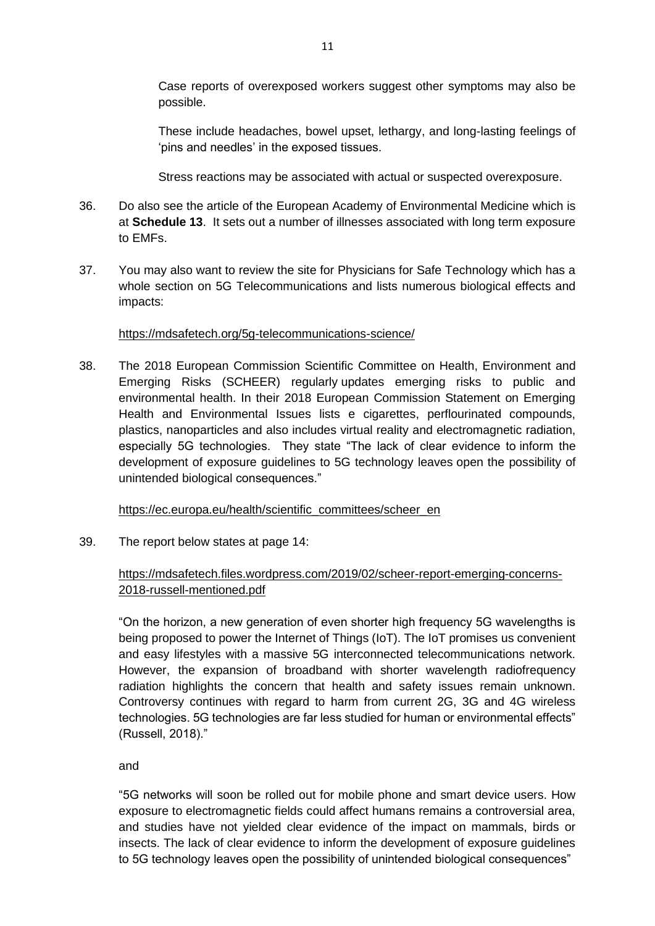Case reports of overexposed workers suggest other symptoms may also be possible.

These include headaches, bowel upset, lethargy, and long-lasting feelings of 'pins and needles' in the exposed tissues.

Stress reactions may be associated with actual or suspected overexposure.

- 36. Do also see the article of the European Academy of Environmental Medicine which is at **Schedule 13**. It sets out a number of illnesses associated with long term exposure to EMFs.
- 37. You may also want to review the site for Physicians for Safe Technology which has a whole section on 5G Telecommunications and lists numerous biological effects and impacts:

## <https://mdsafetech.org/5g-telecommunications-science/>

38. The 2018 European Commission Scientific Committee on Health, Environment and Emerging Risks (SCHEER) regularly updates emerging risks to public and environmental health. In their 2018 European Commission Statement on Emerging Health and Environmental Issues lists e cigarettes, perflourinated compounds, plastics, nanoparticles and also includes virtual reality and electromagnetic radiation, especially 5G technologies. They state "The lack of clear evidence to inform the development of exposure guidelines to 5G technology leaves open the possibility of unintended biological consequences."

## [https://ec.europa.eu/health/scientific\\_committees/scheer\\_en](https://ec.europa.eu/health/scientific_committees/scheer_en)

39. The report below states at page 14:

# [https://mdsafetech.files.wordpress.com/2019/02/scheer-report-emerging-concerns-](https://mdsafetech.files.wordpress.com/2019/02/scheer-report-emerging-concerns-2018-russell-mentioned.pdf)[2018-russell-mentioned.pdf](https://mdsafetech.files.wordpress.com/2019/02/scheer-report-emerging-concerns-2018-russell-mentioned.pdf)

"On the horizon, a new generation of even shorter high frequency 5G wavelengths is being proposed to power the Internet of Things (IoT). The IoT promises us convenient and easy lifestyles with a massive 5G interconnected telecommunications network. However, the expansion of broadband with shorter wavelength radiofrequency radiation highlights the concern that health and safety issues remain unknown. Controversy continues with regard to harm from current 2G, 3G and 4G wireless technologies. 5G technologies are far less studied for human or environmental effects" (Russell, 2018)."

and

"5G networks will soon be rolled out for mobile phone and smart device users. How exposure to electromagnetic fields could affect humans remains a controversial area, and studies have not yielded clear evidence of the impact on mammals, birds or insects. The lack of clear evidence to inform the development of exposure guidelines to 5G technology leaves open the possibility of unintended biological consequences"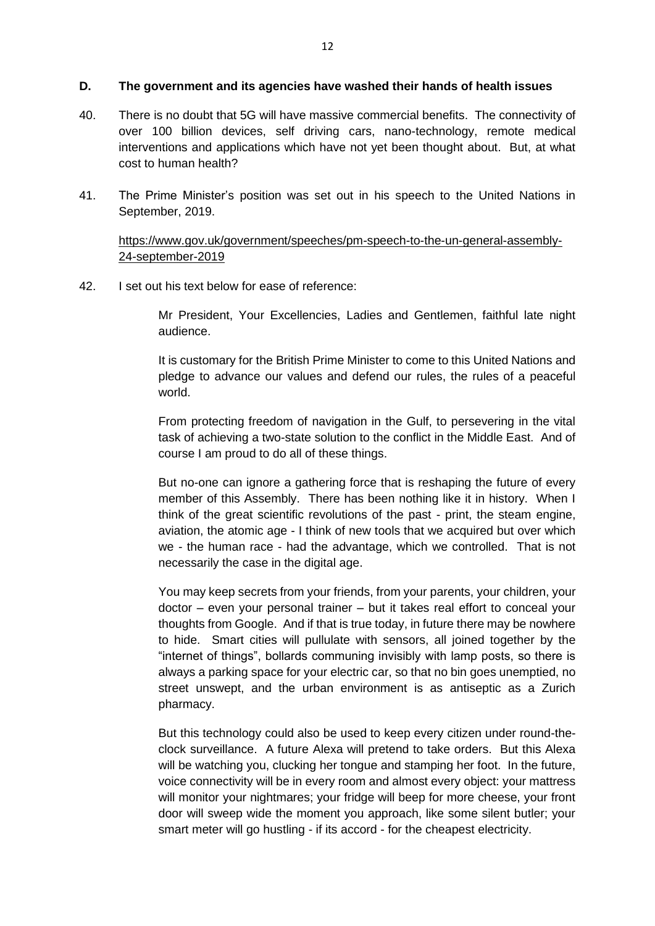#### **D. The government and its agencies have washed their hands of health issues**

- 40. There is no doubt that 5G will have massive commercial benefits. The connectivity of over 100 billion devices, self driving cars, nano-technology, remote medical interventions and applications which have not yet been thought about. But, at what cost to human health?
- 41. The Prime Minister's position was set out in his speech to the United Nations in September, 2019.

[https://www.gov.uk/government/speeches/pm-speech-to-the-un-general-assembly-](https://www.gov.uk/government/speeches/pm-speech-to-the-un-general-assembly-24-september-2019)[24-september-2019](https://www.gov.uk/government/speeches/pm-speech-to-the-un-general-assembly-24-september-2019)

42. I set out his text below for ease of reference:

Mr President, Your Excellencies, Ladies and Gentlemen, faithful late night audience.

It is customary for the British Prime Minister to come to this United Nations and pledge to advance our values and defend our rules, the rules of a peaceful world.

From protecting freedom of navigation in the Gulf, to persevering in the vital task of achieving a two-state solution to the conflict in the Middle East. And of course I am proud to do all of these things.

But no-one can ignore a gathering force that is reshaping the future of every member of this Assembly. There has been nothing like it in history. When I think of the great scientific revolutions of the past - print, the steam engine, aviation, the atomic age - I think of new tools that we acquired but over which we - the human race - had the advantage, which we controlled. That is not necessarily the case in the digital age.

You may keep secrets from your friends, from your parents, your children, your doctor – even your personal trainer – but it takes real effort to conceal your thoughts from Google. And if that is true today, in future there may be nowhere to hide. Smart cities will pullulate with sensors, all joined together by the "internet of things", bollards communing invisibly with lamp posts, so there is always a parking space for your electric car, so that no bin goes unemptied, no street unswept, and the urban environment is as antiseptic as a Zurich pharmacy.

But this technology could also be used to keep every citizen under round-theclock surveillance. A future Alexa will pretend to take orders. But this Alexa will be watching you, clucking her tongue and stamping her foot. In the future, voice connectivity will be in every room and almost every object: your mattress will monitor your nightmares; your fridge will beep for more cheese, your front door will sweep wide the moment you approach, like some silent butler; your smart meter will go hustling - if its accord - for the cheapest electricity.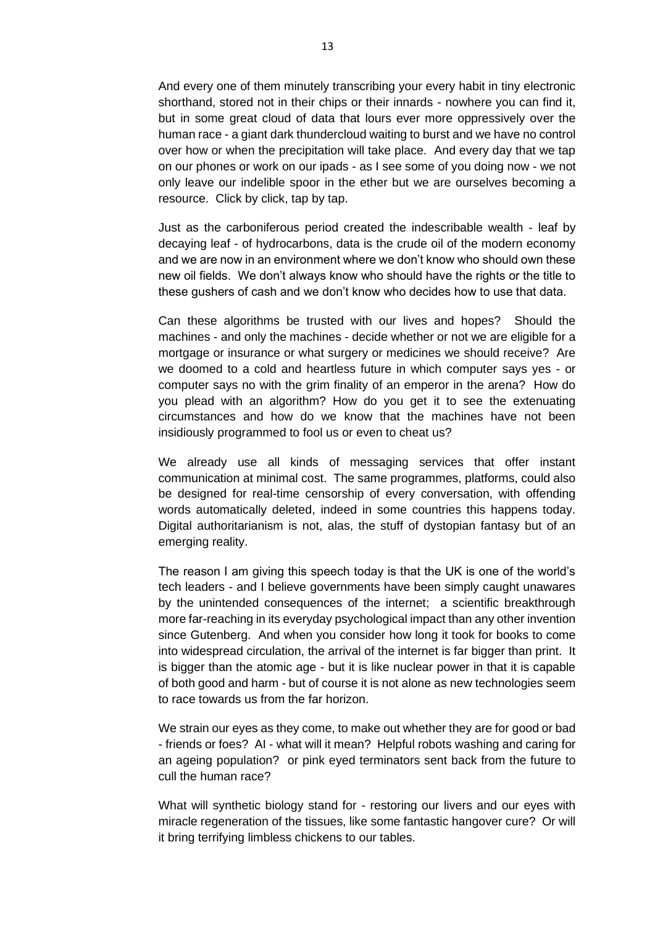And every one of them minutely transcribing your every habit in tiny electronic shorthand, stored not in their chips or their innards - nowhere you can find it, but in some great cloud of data that lours ever more oppressively over the human race - a giant dark thundercloud waiting to burst and we have no control over how or when the precipitation will take place. And every day that we tap on our phones or work on our ipads - as I see some of you doing now - we not only leave our indelible spoor in the ether but we are ourselves becoming a resource. Click by click, tap by tap.

Just as the carboniferous period created the indescribable wealth - leaf by decaying leaf - of hydrocarbons, data is the crude oil of the modern economy and we are now in an environment where we don't know who should own these new oil fields. We don't always know who should have the rights or the title to these gushers of cash and we don't know who decides how to use that data.

Can these algorithms be trusted with our lives and hopes? Should the machines - and only the machines - decide whether or not we are eligible for a mortgage or insurance or what surgery or medicines we should receive? Are we doomed to a cold and heartless future in which computer says yes - or computer says no with the grim finality of an emperor in the arena? How do you plead with an algorithm? How do you get it to see the extenuating circumstances and how do we know that the machines have not been insidiously programmed to fool us or even to cheat us?

We already use all kinds of messaging services that offer instant communication at minimal cost. The same programmes, platforms, could also be designed for real-time censorship of every conversation, with offending words automatically deleted, indeed in some countries this happens today. Digital authoritarianism is not, alas, the stuff of dystopian fantasy but of an emerging reality.

The reason I am giving this speech today is that the UK is one of the world's tech leaders - and I believe governments have been simply caught unawares by the unintended consequences of the internet; a scientific breakthrough more far-reaching in its everyday psychological impact than any other invention since Gutenberg. And when you consider how long it took for books to come into widespread circulation, the arrival of the internet is far bigger than print. It is bigger than the atomic age - but it is like nuclear power in that it is capable of both good and harm - but of course it is not alone as new technologies seem to race towards us from the far horizon.

We strain our eyes as they come, to make out whether they are for good or bad - friends or foes? AI - what will it mean? Helpful robots washing and caring for an ageing population? or pink eyed terminators sent back from the future to cull the human race?

What will synthetic biology stand for - restoring our livers and our eyes with miracle regeneration of the tissues, like some fantastic hangover cure? Or will it bring terrifying limbless chickens to our tables.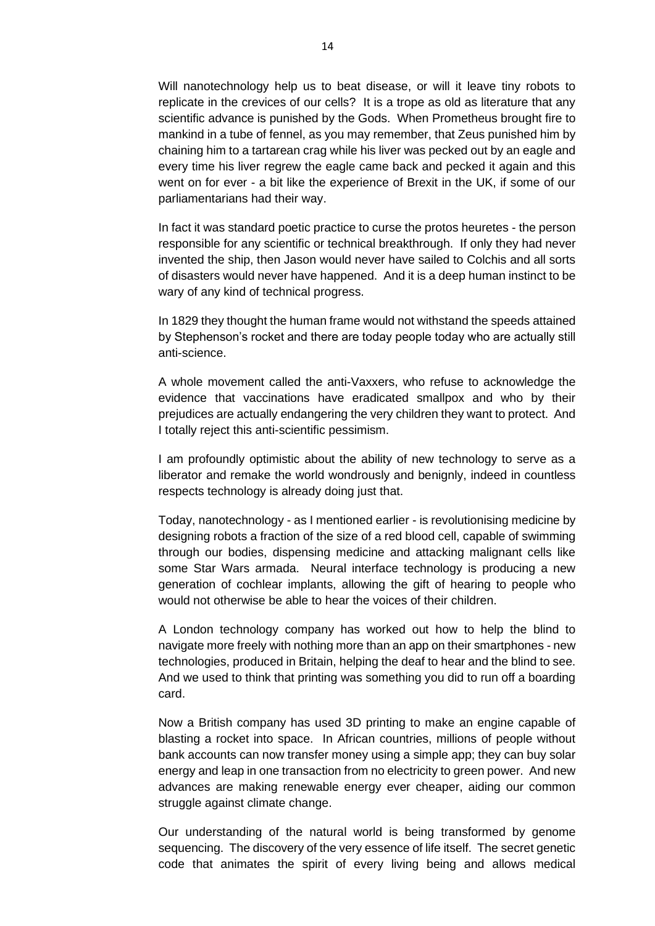Will nanotechnology help us to beat disease, or will it leave tiny robots to replicate in the crevices of our cells? It is a trope as old as literature that any scientific advance is punished by the Gods. When Prometheus brought fire to mankind in a tube of fennel, as you may remember, that Zeus punished him by chaining him to a tartarean crag while his liver was pecked out by an eagle and every time his liver regrew the eagle came back and pecked it again and this went on for ever - a bit like the experience of Brexit in the UK, if some of our parliamentarians had their way.

In fact it was standard poetic practice to curse the protos heuretes - the person responsible for any scientific or technical breakthrough. If only they had never invented the ship, then Jason would never have sailed to Colchis and all sorts of disasters would never have happened. And it is a deep human instinct to be wary of any kind of technical progress.

In 1829 they thought the human frame would not withstand the speeds attained by Stephenson's rocket and there are today people today who are actually still anti-science.

A whole movement called the anti-Vaxxers, who refuse to acknowledge the evidence that vaccinations have eradicated smallpox and who by their prejudices are actually endangering the very children they want to protect. And I totally reject this anti-scientific pessimism.

I am profoundly optimistic about the ability of new technology to serve as a liberator and remake the world wondrously and benignly, indeed in countless respects technology is already doing just that.

Today, nanotechnology - as I mentioned earlier - is revolutionising medicine by designing robots a fraction of the size of a red blood cell, capable of swimming through our bodies, dispensing medicine and attacking malignant cells like some Star Wars armada. Neural interface technology is producing a new generation of cochlear implants, allowing the gift of hearing to people who would not otherwise be able to hear the voices of their children.

A London technology company has worked out how to help the blind to navigate more freely with nothing more than an app on their smartphones - new technologies, produced in Britain, helping the deaf to hear and the blind to see. And we used to think that printing was something you did to run off a boarding card.

Now a British company has used 3D printing to make an engine capable of blasting a rocket into space. In African countries, millions of people without bank accounts can now transfer money using a simple app; they can buy solar energy and leap in one transaction from no electricity to green power. And new advances are making renewable energy ever cheaper, aiding our common struggle against climate change.

Our understanding of the natural world is being transformed by genome sequencing. The discovery of the very essence of life itself. The secret genetic code that animates the spirit of every living being and allows medical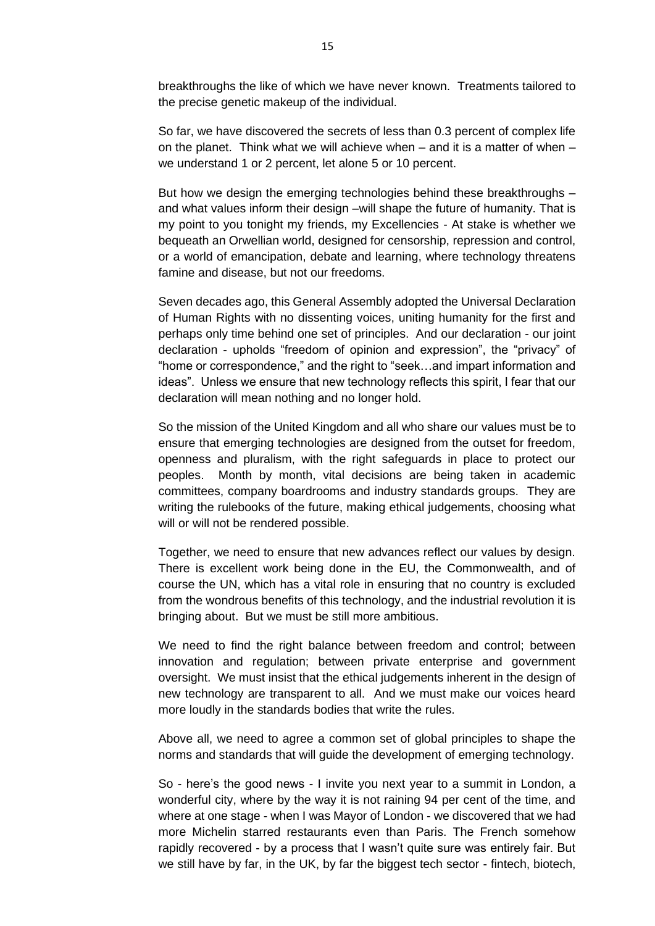breakthroughs the like of which we have never known. Treatments tailored to the precise genetic makeup of the individual.

So far, we have discovered the secrets of less than 0.3 percent of complex life on the planet. Think what we will achieve when – and it is a matter of when – we understand 1 or 2 percent, let alone 5 or 10 percent.

But how we design the emerging technologies behind these breakthroughs – and what values inform their design –will shape the future of humanity. That is my point to you tonight my friends, my Excellencies - At stake is whether we bequeath an Orwellian world, designed for censorship, repression and control, or a world of emancipation, debate and learning, where technology threatens famine and disease, but not our freedoms.

Seven decades ago, this General Assembly adopted the Universal Declaration of Human Rights with no dissenting voices, uniting humanity for the first and perhaps only time behind one set of principles. And our declaration - our joint declaration - upholds "freedom of opinion and expression", the "privacy" of "home or correspondence," and the right to "seek…and impart information and ideas". Unless we ensure that new technology reflects this spirit, I fear that our declaration will mean nothing and no longer hold.

So the mission of the United Kingdom and all who share our values must be to ensure that emerging technologies are designed from the outset for freedom, openness and pluralism, with the right safeguards in place to protect our peoples. Month by month, vital decisions are being taken in academic committees, company boardrooms and industry standards groups. They are writing the rulebooks of the future, making ethical judgements, choosing what will or will not be rendered possible.

Together, we need to ensure that new advances reflect our values by design. There is excellent work being done in the EU, the Commonwealth, and of course the UN, which has a vital role in ensuring that no country is excluded from the wondrous benefits of this technology, and the industrial revolution it is bringing about. But we must be still more ambitious.

We need to find the right balance between freedom and control; between innovation and regulation; between private enterprise and government oversight. We must insist that the ethical judgements inherent in the design of new technology are transparent to all. And we must make our voices heard more loudly in the standards bodies that write the rules.

Above all, we need to agree a common set of global principles to shape the norms and standards that will guide the development of emerging technology.

So - here's the good news - I invite you next year to a summit in London, a wonderful city, where by the way it is not raining 94 per cent of the time, and where at one stage - when I was Mayor of London - we discovered that we had more Michelin starred restaurants even than Paris. The French somehow rapidly recovered - by a process that I wasn't quite sure was entirely fair. But we still have by far, in the UK, by far the biggest tech sector - fintech, biotech,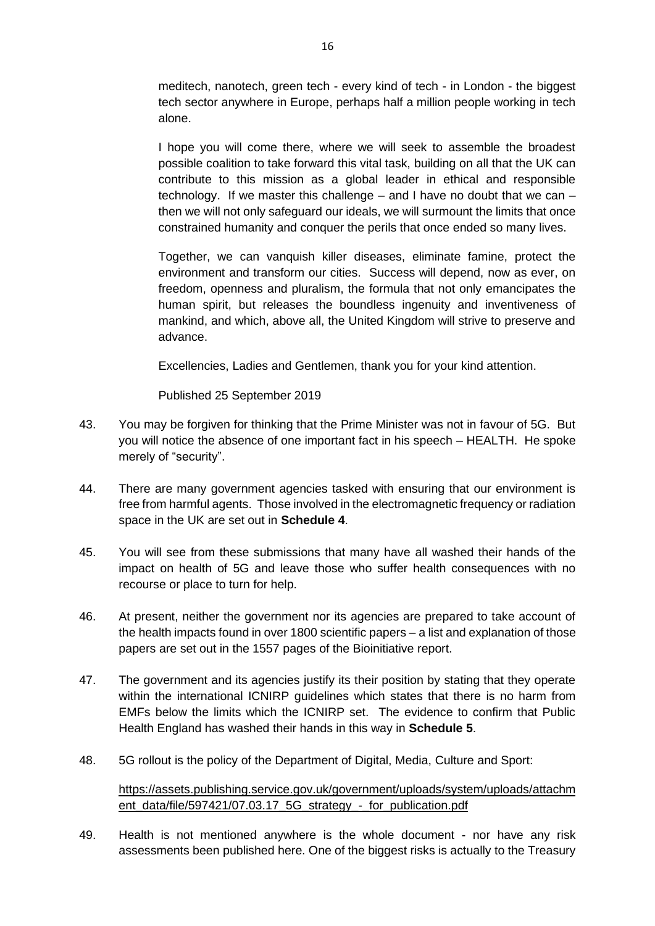meditech, nanotech, green tech - every kind of tech - in London - the biggest tech sector anywhere in Europe, perhaps half a million people working in tech alone.

I hope you will come there, where we will seek to assemble the broadest possible coalition to take forward this vital task, building on all that the UK can contribute to this mission as a global leader in ethical and responsible technology. If we master this challenge – and I have no doubt that we can – then we will not only safeguard our ideals, we will surmount the limits that once constrained humanity and conquer the perils that once ended so many lives.

Together, we can vanquish killer diseases, eliminate famine, protect the environment and transform our cities. Success will depend, now as ever, on freedom, openness and pluralism, the formula that not only emancipates the human spirit, but releases the boundless ingenuity and inventiveness of mankind, and which, above all, the United Kingdom will strive to preserve and advance.

Excellencies, Ladies and Gentlemen, thank you for your kind attention.

Published 25 September 2019

- 43. You may be forgiven for thinking that the Prime Minister was not in favour of 5G. But you will notice the absence of one important fact in his speech – HEALTH. He spoke merely of "security".
- 44. There are many government agencies tasked with ensuring that our environment is free from harmful agents. Those involved in the electromagnetic frequency or radiation space in the UK are set out in **Schedule 4**.
- 45. You will see from these submissions that many have all washed their hands of the impact on health of 5G and leave those who suffer health consequences with no recourse or place to turn for help.
- 46. At present, neither the government nor its agencies are prepared to take account of the health impacts found in over 1800 scientific papers – a list and explanation of those papers are set out in the 1557 pages of the Bioinitiative report.
- 47. The government and its agencies justify its their position by stating that they operate within the international ICNIRP guidelines which states that there is no harm from EMFs below the limits which the ICNIRP set. The evidence to confirm that Public Health England has washed their hands in this way in **Schedule 5**.
- 48. 5G rollout is the policy of the Department of Digital, Media, Culture and Sport:

[https://assets.publishing.service.gov.uk/government/uploads/system/uploads/attachm](https://assets.publishing.service.gov.uk/government/uploads/system/uploads/attachment_data/file/597421/07.03.17_5G_strategy_-_for_publication.pdf) [ent\\_data/file/597421/07.03.17\\_5G\\_strategy\\_-\\_for\\_publication.pdf](https://assets.publishing.service.gov.uk/government/uploads/system/uploads/attachment_data/file/597421/07.03.17_5G_strategy_-_for_publication.pdf)

49. Health is not mentioned anywhere is the whole document - nor have any risk assessments been published here. One of the biggest risks is actually to the Treasury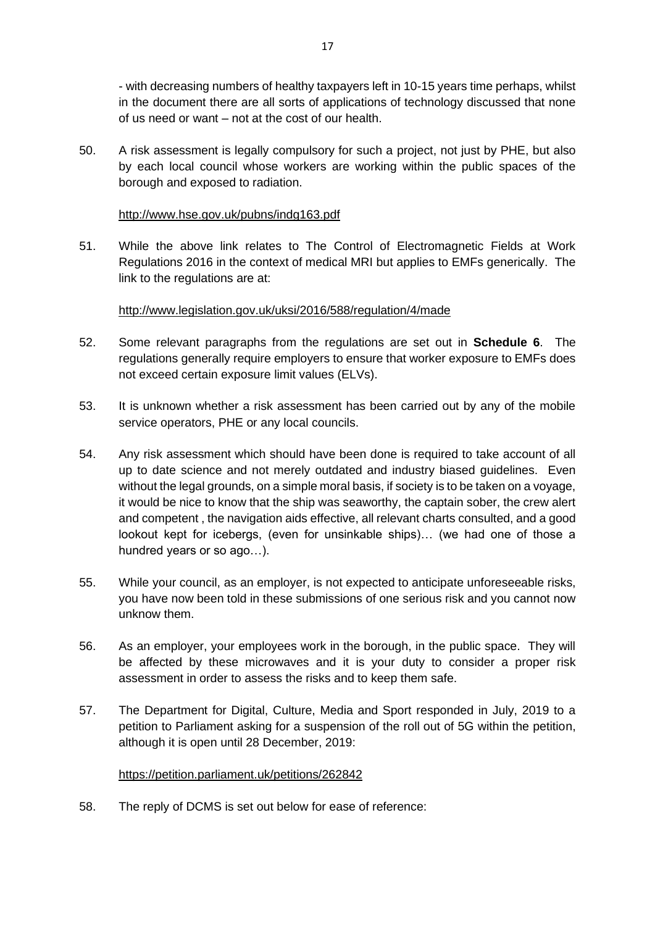- with decreasing numbers of healthy taxpayers left in 10-15 years time perhaps, whilst in the document there are all sorts of applications of technology discussed that none of us need or want – not at the cost of our health.

50. A risk assessment is legally compulsory for such a project, not just by PHE, but also by each local council whose workers are working within the public spaces of the borough and exposed to radiation.

### <http://www.hse.gov.uk/pubns/indg163.pdf>

51. While the above link relates to The Control of Electromagnetic Fields at Work Regulations 2016 in the context of medical MRI but applies to EMFs generically. The link to the regulations are at:

#### <http://www.legislation.gov.uk/uksi/2016/588/regulation/4/made>

- 52. Some relevant paragraphs from the regulations are set out in **Schedule 6**. The regulations generally require employers to ensure that worker exposure to EMFs does not exceed certain exposure limit values (ELVs).
- 53. It is unknown whether a risk assessment has been carried out by any of the mobile service operators, PHE or any local councils.
- 54. Any risk assessment which should have been done is required to take account of all up to date science and not merely outdated and industry biased guidelines. Even without the legal grounds, on a simple moral basis, if society is to be taken on a voyage, it would be nice to know that the ship was seaworthy, the captain sober, the crew alert and competent , the navigation aids effective, all relevant charts consulted, and a good lookout kept for icebergs, (even for unsinkable ships)… (we had one of those a hundred years or so ago…).
- 55. While your council, as an employer, is not expected to anticipate unforeseeable risks, you have now been told in these submissions of one serious risk and you cannot now unknow them.
- 56. As an employer, your employees work in the borough, in the public space. They will be affected by these microwaves and it is your duty to consider a proper risk assessment in order to assess the risks and to keep them safe.
- 57. The Department for Digital, Culture, Media and Sport responded in July, 2019 to a petition to Parliament asking for a suspension of the roll out of 5G within the petition, although it is open until 28 December, 2019:

#### <https://petition.parliament.uk/petitions/262842>

58. The reply of DCMS is set out below for ease of reference: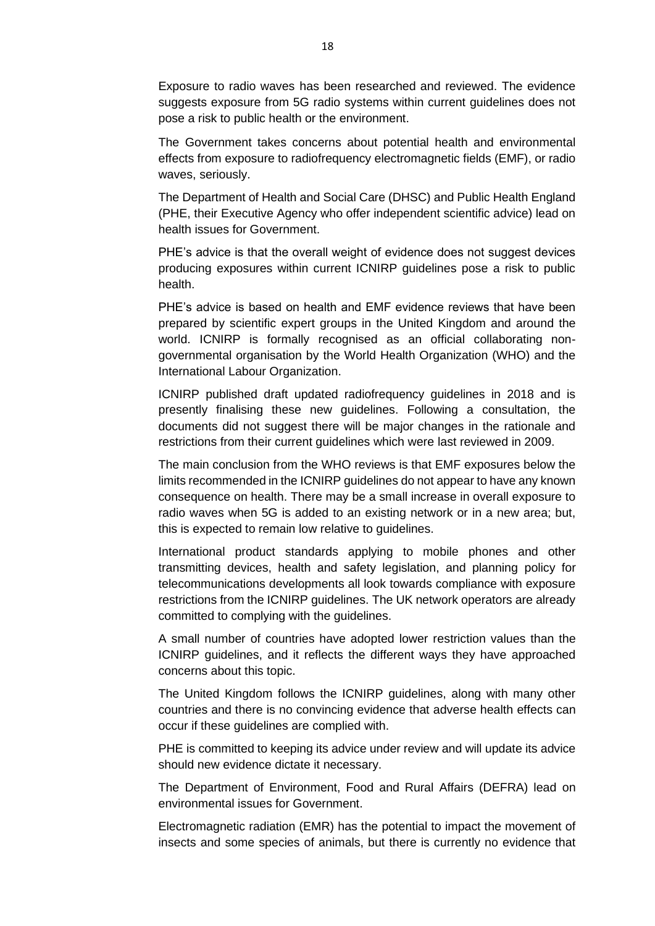Exposure to radio waves has been researched and reviewed. The evidence suggests exposure from 5G radio systems within current guidelines does not pose a risk to public health or the environment.

The Government takes concerns about potential health and environmental effects from exposure to radiofrequency electromagnetic fields (EMF), or radio waves, seriously.

The Department of Health and Social Care (DHSC) and Public Health England (PHE, their Executive Agency who offer independent scientific advice) lead on health issues for Government.

PHE's advice is that the overall weight of evidence does not suggest devices producing exposures within current ICNIRP guidelines pose a risk to public health.

PHE's advice is based on health and EMF evidence reviews that have been prepared by scientific expert groups in the United Kingdom and around the world. ICNIRP is formally recognised as an official collaborating nongovernmental organisation by the World Health Organization (WHO) and the International Labour Organization.

ICNIRP published draft updated radiofrequency guidelines in 2018 and is presently finalising these new guidelines. Following a consultation, the documents did not suggest there will be major changes in the rationale and restrictions from their current guidelines which were last reviewed in 2009.

The main conclusion from the WHO reviews is that EMF exposures below the limits recommended in the ICNIRP guidelines do not appear to have any known consequence on health. There may be a small increase in overall exposure to radio waves when 5G is added to an existing network or in a new area; but, this is expected to remain low relative to guidelines.

International product standards applying to mobile phones and other transmitting devices, health and safety legislation, and planning policy for telecommunications developments all look towards compliance with exposure restrictions from the ICNIRP guidelines. The UK network operators are already committed to complying with the guidelines.

A small number of countries have adopted lower restriction values than the ICNIRP guidelines, and it reflects the different ways they have approached concerns about this topic.

The United Kingdom follows the ICNIRP guidelines, along with many other countries and there is no convincing evidence that adverse health effects can occur if these guidelines are complied with.

PHE is committed to keeping its advice under review and will update its advice should new evidence dictate it necessary.

The Department of Environment, Food and Rural Affairs (DEFRA) lead on environmental issues for Government.

Electromagnetic radiation (EMR) has the potential to impact the movement of insects and some species of animals, but there is currently no evidence that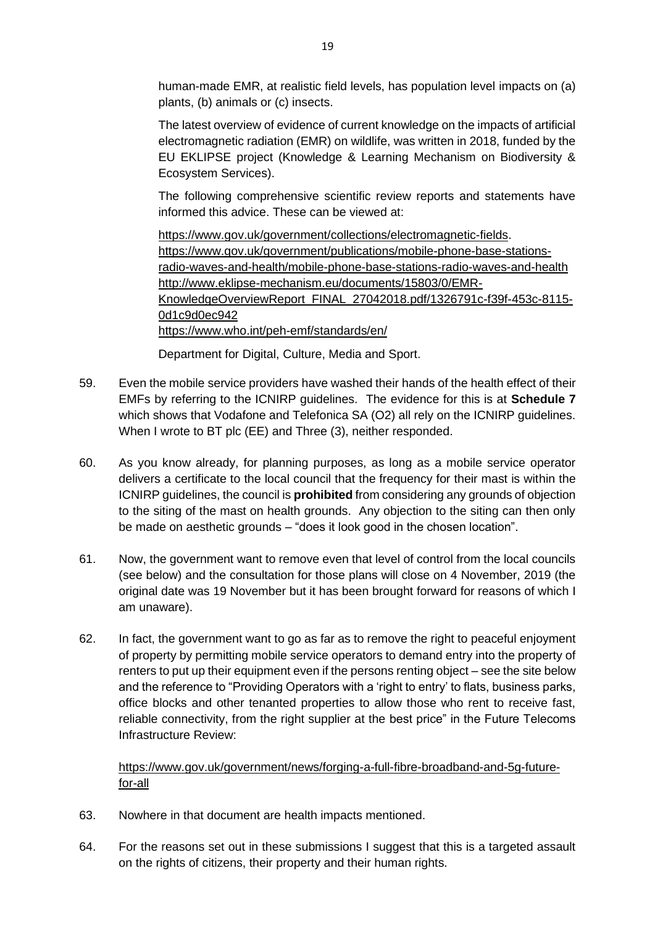human-made EMR, at realistic field levels, has population level impacts on (a) plants, (b) animals or (c) insects.

The latest overview of evidence of current knowledge on the impacts of artificial electromagnetic radiation (EMR) on wildlife, was written in 2018, funded by the EU EKLIPSE project (Knowledge & Learning Mechanism on Biodiversity & Ecosystem Services).

The following comprehensive scientific review reports and statements have informed this advice. These can be viewed at:

[https://www.gov.uk/government/collections/electromagnetic-fields.](https://www.gov.uk/government/collections/electromagnetic-fields) [https://www.gov.uk/government/publications/mobile-phone-base-stations](https://www.gov.uk/government/publications/mobile-phone-base-stations-radio-waves-and-health/mobile-phone-base-stations-radio-waves-and-health)[radio-waves-and-health/mobile-phone-base-stations-radio-waves-and-health](https://www.gov.uk/government/publications/mobile-phone-base-stations-radio-waves-and-health/mobile-phone-base-stations-radio-waves-and-health) [http://www.eklipse-mechanism.eu/documents/15803/0/EMR-](http://www.eklipse-mechanism.eu/documents/15803/0/EMR-KnowledgeOverviewReport_FINAL_27042018.pdf/1326791c-f39f-453c-8115-0d1c9d0ec942)[KnowledgeOverviewReport\\_FINAL\\_27042018.pdf/1326791c-f39f-453c-8115-](http://www.eklipse-mechanism.eu/documents/15803/0/EMR-KnowledgeOverviewReport_FINAL_27042018.pdf/1326791c-f39f-453c-8115-0d1c9d0ec942) [0d1c9d0ec942](http://www.eklipse-mechanism.eu/documents/15803/0/EMR-KnowledgeOverviewReport_FINAL_27042018.pdf/1326791c-f39f-453c-8115-0d1c9d0ec942) <https://www.who.int/peh-emf/standards/en/>

Department for Digital, Culture, Media and Sport.

- 59. Even the mobile service providers have washed their hands of the health effect of their EMFs by referring to the ICNIRP guidelines. The evidence for this is at **Schedule 7** which shows that Vodafone and Telefonica SA (O2) all rely on the ICNIRP guidelines. When I wrote to BT plc (EE) and Three (3), neither responded.
- 60. As you know already, for planning purposes, as long as a mobile service operator delivers a certificate to the local council that the frequency for their mast is within the ICNIRP guidelines, the council is **prohibited** from considering any grounds of objection to the siting of the mast on health grounds. Any objection to the siting can then only be made on aesthetic grounds – "does it look good in the chosen location".
- 61. Now, the government want to remove even that level of control from the local councils (see below) and the consultation for those plans will close on 4 November, 2019 (the original date was 19 November but it has been brought forward for reasons of which I am unaware).
- 62. In fact, the government want to go as far as to remove the right to peaceful enjoyment of property by permitting mobile service operators to demand entry into the property of renters to put up their equipment even if the persons renting object – see the site below and the reference to "Providing Operators with a 'right to entry' to flats, business parks, office blocks and other tenanted properties to allow those who rent to receive fast, reliable connectivity, from the right supplier at the best price" in the Future Telecoms Infrastructure Review:

[https://www.gov.uk/government/news/forging-a-full-fibre-broadband-and-5g-future](https://www.gov.uk/government/news/forging-a-full-fibre-broadband-and-5g-future-for-all)[for-all](https://www.gov.uk/government/news/forging-a-full-fibre-broadband-and-5g-future-for-all)

- 63. Nowhere in that document are health impacts mentioned.
- 64. For the reasons set out in these submissions I suggest that this is a targeted assault on the rights of citizens, their property and their human rights.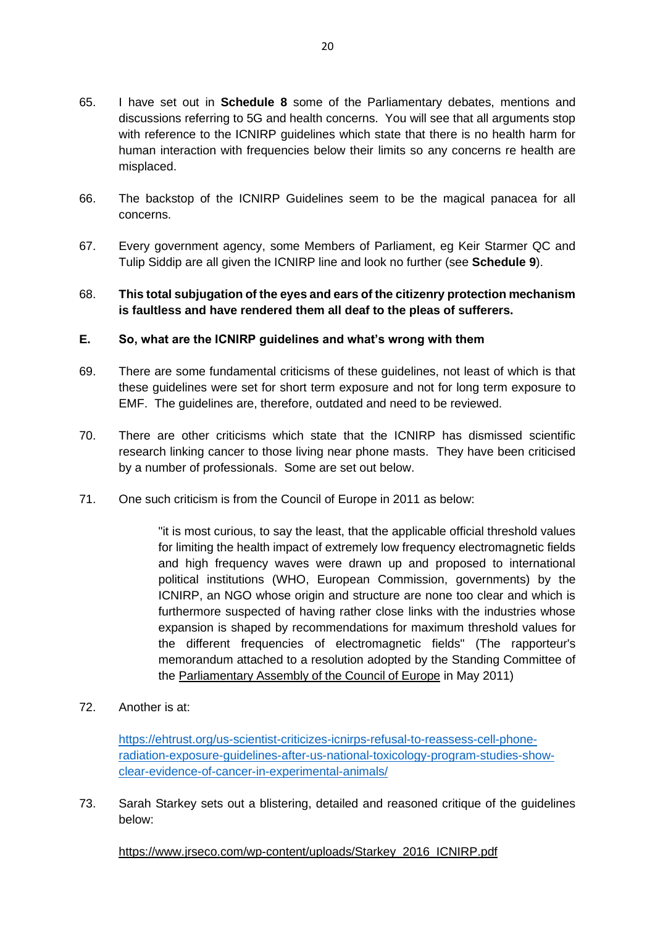- 65. I have set out in **Schedule 8** some of the Parliamentary debates, mentions and discussions referring to 5G and health concerns. You will see that all arguments stop with reference to the ICNIRP guidelines which state that there is no health harm for human interaction with frequencies below their limits so any concerns re health are misplaced.
- 66. The backstop of the ICNIRP Guidelines seem to be the magical panacea for all concerns.
- 67. Every government agency, some Members of Parliament, eg Keir Starmer QC and Tulip Siddip are all given the ICNIRP line and look no further (see **Schedule 9**).

## 68. **This total subjugation of the eyes and ears of the citizenry protection mechanism is faultless and have rendered them all deaf to the pleas of sufferers.**

## **E. So, what are the ICNIRP guidelines and what's wrong with them**

- 69. There are some fundamental criticisms of these guidelines, not least of which is that these guidelines were set for short term exposure and not for long term exposure to EMF. The guidelines are, therefore, outdated and need to be reviewed.
- 70. There are other criticisms which state that the ICNIRP has dismissed scientific research linking cancer to those living near phone masts. They have been criticised by a number of professionals. Some are set out below.
- 71. One such criticism is from the Council of Europe in 2011 as below:

"it is most curious, to say the least, that the applicable official threshold values for limiting the health impact of extremely low frequency electromagnetic fields and high frequency waves were drawn up and proposed to international political institutions (WHO, European Commission, governments) by the ICNIRP, an NGO whose origin and structure are none too clear and which is furthermore suspected of having rather close links with the industries whose expansion is shaped by recommendations for maximum threshold values for the different frequencies of electromagnetic fields" (The rapporteur's memorandum attached to a resolution adopted by the Standing Committee of the [Parliamentary](https://wiki2.org/en/Parliamentary_Assembly_of_the_Council_of_Europe) Assembly of the Council of Europe in May 2011)

72. Another is at:

[https://ehtrust.org/us-scientist-criticizes-icnirps-refusal-to-reassess-cell-phone](https://ehtrust.org/us-scientist-criticizes-icnirps-refusal-to-reassess-cell-phone-radiation-exposure-guidelines-after-us-national-toxicology-program-studies-show-clear-evidence-of-cancer-in-experimental-animals/)[radiation-exposure-guidelines-after-us-national-toxicology-program-studies-show](https://ehtrust.org/us-scientist-criticizes-icnirps-refusal-to-reassess-cell-phone-radiation-exposure-guidelines-after-us-national-toxicology-program-studies-show-clear-evidence-of-cancer-in-experimental-animals/)[clear-evidence-of-cancer-in-experimental-animals/](https://ehtrust.org/us-scientist-criticizes-icnirps-refusal-to-reassess-cell-phone-radiation-exposure-guidelines-after-us-national-toxicology-program-studies-show-clear-evidence-of-cancer-in-experimental-animals/)

73. Sarah Starkey sets out a blistering, detailed and reasoned critique of the guidelines below:

[https://www.jrseco.com/wp-content/uploads/Starkey\\_2016\\_ICNIRP.pdf](https://www.jrseco.com/wp-content/uploads/Starkey_2016_ICNIRP.pdf)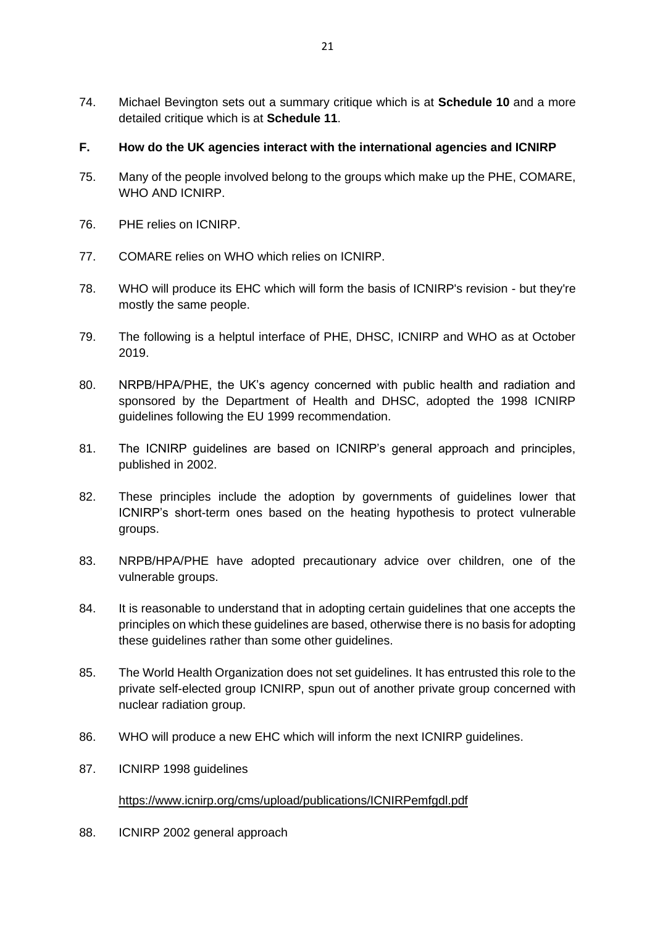- 74. Michael Bevington sets out a summary critique which is at **Schedule 10** and a more detailed critique which is at **Schedule 11**.
- **F. How do the UK agencies interact with the international agencies and ICNIRP**
- 75. Many of the people involved belong to the groups which make up the PHE, COMARE, WHO AND ICNIRP.
- 76. PHE relies on ICNIRP.
- 77. COMARE relies on WHO which relies on ICNIRP.
- 78. WHO will produce its EHC which will form the basis of ICNIRP's revision but they're mostly the same people.
- 79. The following is a helptul interface of PHE, DHSC, ICNIRP and WHO as at October 2019.
- 80. NRPB/HPA/PHE, the UK's agency concerned with public health and radiation and sponsored by the Department of Health and DHSC, adopted the 1998 ICNIRP guidelines following the EU 1999 recommendation.
- 81. The ICNIRP guidelines are based on ICNIRP's general approach and principles, published in 2002.
- 82. These principles include the adoption by governments of guidelines lower that ICNIRP's short-term ones based on the heating hypothesis to protect vulnerable groups.
- 83. NRPB/HPA/PHE have adopted precautionary advice over children, one of the vulnerable groups.
- 84. It is reasonable to understand that in adopting certain guidelines that one accepts the principles on which these guidelines are based, otherwise there is no basis for adopting these guidelines rather than some other guidelines.
- 85. The World Health Organization does not set guidelines. It has entrusted this role to the private self-elected group ICNIRP, spun out of another private group concerned with nuclear radiation group.
- 86. WHO will produce a new EHC which will inform the next ICNIRP guidelines.
- 87. ICNIRP 1998 guidelines

## <https://www.icnirp.org/cms/upload/publications/ICNIRPemfgdl.pdf>

88. ICNIRP 2002 general approach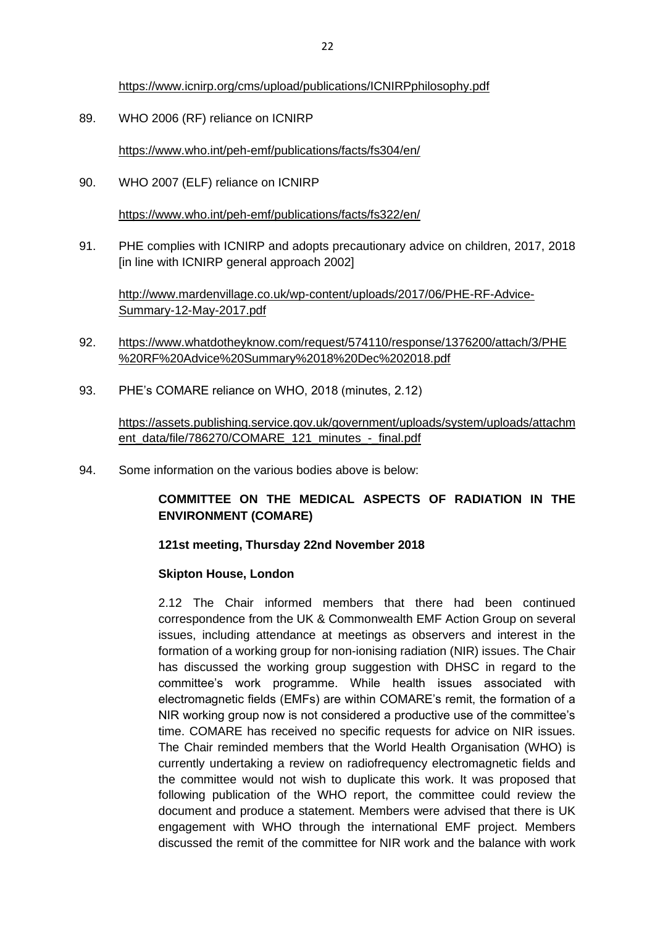<https://www.icnirp.org/cms/upload/publications/ICNIRPphilosophy.pdf>

89. WHO 2006 (RF) reliance on ICNIRP

<https://www.who.int/peh-emf/publications/facts/fs304/en/>

90. WHO 2007 (ELF) reliance on ICNIRP

<https://www.who.int/peh-emf/publications/facts/fs322/en/>

91. PHE complies with ICNIRP and adopts precautionary advice on children, 2017, 2018 [in line with ICNIRP general approach 2002]

[http://www.mardenvillage.co.uk/wp-content/uploads/2017/06/PHE-RF-Advice-](http://www.mardenvillage.co.uk/wp-content/uploads/2017/06/PHE-RF-Advice-Summary-12-May-2017.pdf)[Summary-12-May-2017.pdf](http://www.mardenvillage.co.uk/wp-content/uploads/2017/06/PHE-RF-Advice-Summary-12-May-2017.pdf)

- 92. [https://www.whatdotheyknow.com/request/574110/response/1376200/attach/3/PHE](https://www.whatdotheyknow.com/request/574110/response/1376200/attach/3/PHE%20RF%20Advice%20Summary%2018%20Dec%202018.pdf) [%20RF%20Advice%20Summary%2018%20Dec%202018.pdf](https://www.whatdotheyknow.com/request/574110/response/1376200/attach/3/PHE%20RF%20Advice%20Summary%2018%20Dec%202018.pdf)
- 93. PHE's COMARE reliance on WHO, 2018 (minutes, 2.12)

[https://assets.publishing.service.gov.uk/government/uploads/system/uploads/attachm](https://assets.publishing.service.gov.uk/government/uploads/system/uploads/attachment_data/file/786270/COMARE_121_minutes_-_final.pdf) [ent\\_data/file/786270/COMARE\\_121\\_minutes\\_-\\_final.pdf](https://assets.publishing.service.gov.uk/government/uploads/system/uploads/attachment_data/file/786270/COMARE_121_minutes_-_final.pdf)

94. Some information on the various bodies above is below:

# **COMMITTEE ON THE MEDICAL ASPECTS OF RADIATION IN THE ENVIRONMENT (COMARE)**

#### **121st meeting, Thursday 22nd November 2018**

#### **Skipton House, London**

2.12 The Chair informed members that there had been continued correspondence from the UK & Commonwealth EMF Action Group on several issues, including attendance at meetings as observers and interest in the formation of a working group for non-ionising radiation (NIR) issues. The Chair has discussed the working group suggestion with DHSC in regard to the committee's work programme. While health issues associated with electromagnetic fields (EMFs) are within COMARE's remit, the formation of a NIR working group now is not considered a productive use of the committee's time. COMARE has received no specific requests for advice on NIR issues. The Chair reminded members that the World Health Organisation (WHO) is currently undertaking a review on radiofrequency electromagnetic fields and the committee would not wish to duplicate this work. It was proposed that following publication of the WHO report, the committee could review the document and produce a statement. Members were advised that there is UK engagement with WHO through the international EMF project. Members discussed the remit of the committee for NIR work and the balance with work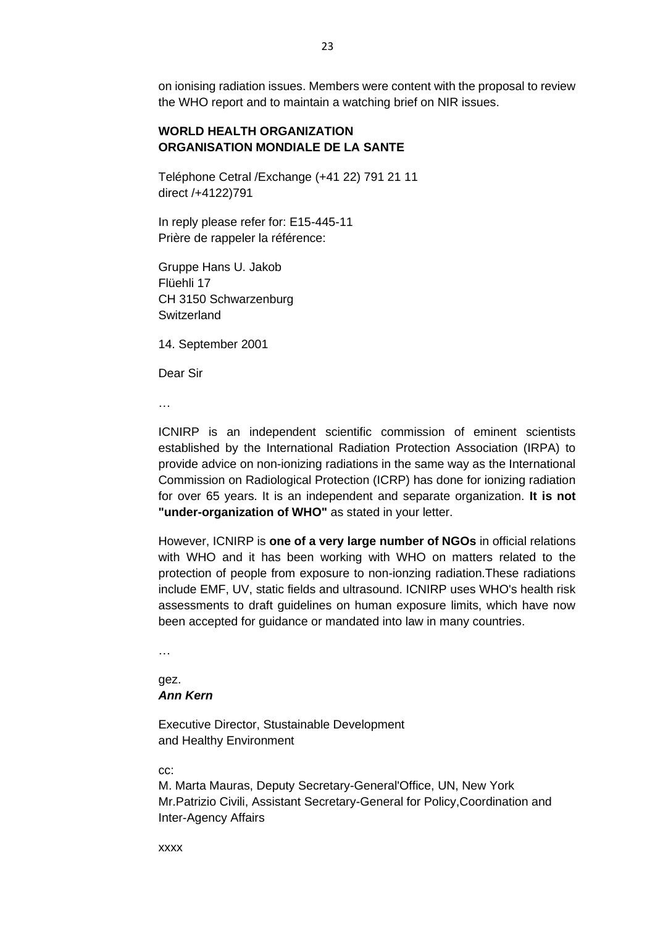on ionising radiation issues. Members were content with the proposal to review the WHO report and to maintain a watching brief on NIR issues.

## **WORLD HEALTH ORGANIZATION ORGANISATION MONDIALE DE LA SANTE**

Teléphone Cetral /Exchange (+41 22) 791 21 11 direct /+4122)791

In reply please refer for: E15-445-11 Prière de rappeler la référence:

Gruppe Hans U. Jakob Flüehli 17 CH 3150 Schwarzenburg **Switzerland** 

14. September 2001

Dear Sir

…

ICNIRP is an independent scientific commission of eminent scientists established by the International Radiation Protection Association (IRPA) to provide advice on non-ionizing radiations in the same way as the International Commission on Radiological Protection (ICRP) has done for ionizing radiation for over 65 years. It is an independent and separate organization. **It is not "under-organization of WHO"** as stated in your letter.

However, ICNIRP is **one of a very large number of NGOs** in official relations with WHO and it has been working with WHO on matters related to the protection of people from exposure to non-ionzing radiation.These radiations include EMF, UV, static fields and ultrasound. ICNIRP uses WHO's health risk assessments to draft guidelines on human exposure limits, which have now been accepted for guidance or mandated into law in many countries.

…

#### gez. *Ann Kern*

Executive Director, Stustainable Development and Healthy Environment

cc:

M. Marta Mauras, Deputy Secretary-General'Office, UN, New York Mr.Patrizio Civili, Assistant Secretary-General for Policy,Coordination and Inter-Agency Affairs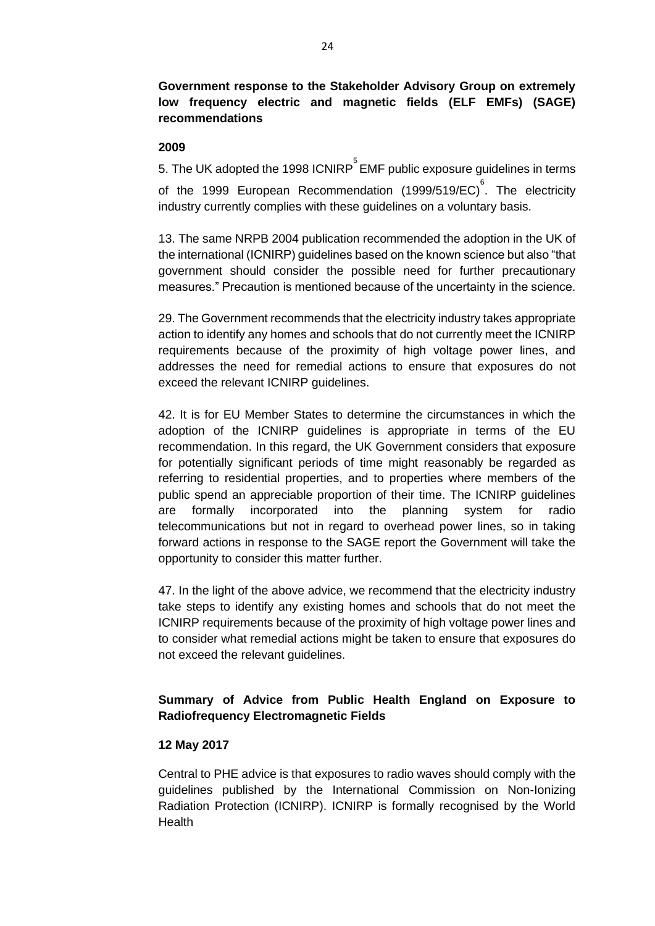**Government response to the Stakeholder Advisory Group on extremely low frequency electric and magnetic fields (ELF EMFs) (SAGE) recommendations**

#### **2009**

5. The UK adopted the 1998 ICNIRP $\mathring{\text{^{\circ}}}$ EMF public exposure guidelines in terms of the 1999 European Recommendation (1999/519/EC)<sup>6</sup>. The electricity industry currently complies with these guidelines on a voluntary basis.

13. The same NRPB 2004 publication recommended the adoption in the UK of the international (ICNIRP) guidelines based on the known science but also "that government should consider the possible need for further precautionary measures." Precaution is mentioned because of the uncertainty in the science.

29. The Government recommends that the electricity industry takes appropriate action to identify any homes and schools that do not currently meet the ICNIRP requirements because of the proximity of high voltage power lines, and addresses the need for remedial actions to ensure that exposures do not exceed the relevant ICNIRP guidelines.

42. It is for EU Member States to determine the circumstances in which the adoption of the ICNIRP guidelines is appropriate in terms of the EU recommendation. In this regard, the UK Government considers that exposure for potentially significant periods of time might reasonably be regarded as referring to residential properties, and to properties where members of the public spend an appreciable proportion of their time. The ICNIRP guidelines are formally incorporated into the planning system for radio telecommunications but not in regard to overhead power lines, so in taking forward actions in response to the SAGE report the Government will take the opportunity to consider this matter further.

47. In the light of the above advice, we recommend that the electricity industry take steps to identify any existing homes and schools that do not meet the ICNIRP requirements because of the proximity of high voltage power lines and to consider what remedial actions might be taken to ensure that exposures do not exceed the relevant guidelines.

# **Summary of Advice from Public Health England on Exposure to Radiofrequency Electromagnetic Fields**

## **12 May 2017**

Central to PHE advice is that exposures to radio waves should comply with the guidelines published by the International Commission on Non-Ionizing Radiation Protection (ICNIRP). ICNIRP is formally recognised by the World **Health**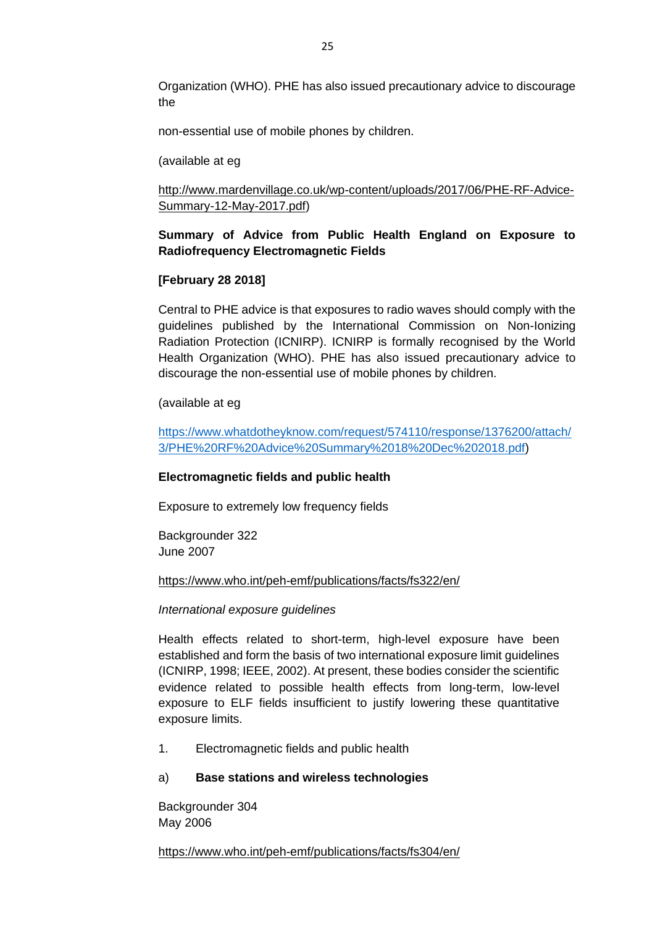Organization (WHO). PHE has also issued precautionary advice to discourage the

non-essential use of mobile phones by children.

(available at eg

## [http://www.mardenvillage.co.uk/wp-content/uploads/2017/06/PHE-RF-Advice-](http://www.mardenvillage.co.uk/wp-content/uploads/2017/06/PHE-RF-Advice-Summary-12-May-2017.pdf)[Summary-12-May-2017.pdf\)](http://www.mardenvillage.co.uk/wp-content/uploads/2017/06/PHE-RF-Advice-Summary-12-May-2017.pdf)

## **Summary of Advice from Public Health England on Exposure to Radiofrequency Electromagnetic Fields**

## **[February 28 2018]**

Central to PHE advice is that exposures to radio waves should comply with the guidelines published by the International Commission on Non-Ionizing Radiation Protection (ICNIRP). ICNIRP is formally recognised by the World Health Organization (WHO). PHE has also issued precautionary advice to discourage the non-essential use of mobile phones by children.

(available at eg

[https://www.whatdotheyknow.com/request/574110/response/1376200/attach/](https://www.whatdotheyknow.com/request/574110/response/1376200/attach/3/PHE%20RF%20Advice%20Summary%2018%20Dec%202018.pdf) [3/PHE%20RF%20Advice%20Summary%2018%20Dec%202018.pdf\)](https://www.whatdotheyknow.com/request/574110/response/1376200/attach/3/PHE%20RF%20Advice%20Summary%2018%20Dec%202018.pdf)

## **Electromagnetic fields and public health**

Exposure to extremely low frequency fields

Backgrounder 322 June 2007

#### <https://www.who.int/peh-emf/publications/facts/fs322/en/>

#### *International exposure guidelines*

Health effects related to short-term, high-level exposure have been established and form the basis of two international exposure limit guidelines (ICNIRP, 1998; IEEE, 2002). At present, these bodies consider the scientific evidence related to possible health effects from long-term, low-level exposure to ELF fields insufficient to justify lowering these quantitative exposure limits.

1. Electromagnetic fields and public health

#### a) **Base stations and wireless technologies**

Backgrounder 304 May 2006

<https://www.who.int/peh-emf/publications/facts/fs304/en/>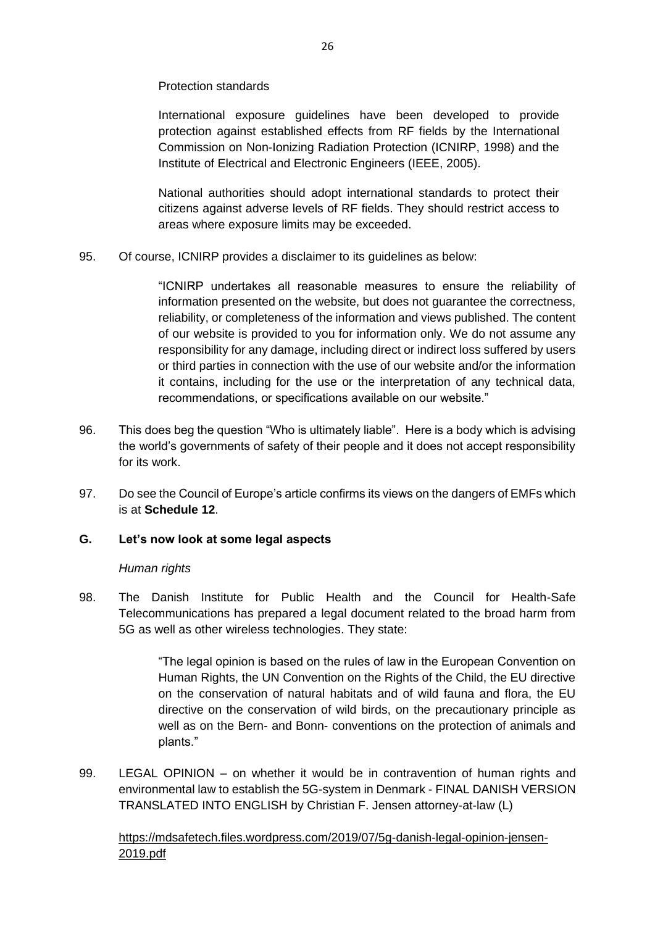Protection standards

International exposure guidelines have been developed to provide protection against established effects from RF fields by the International Commission on Non-Ionizing Radiation Protection (ICNIRP, 1998) and the Institute of Electrical and Electronic Engineers (IEEE, 2005).

National authorities should adopt international standards to protect their citizens against adverse levels of RF fields. They should restrict access to areas where exposure limits may be exceeded.

95. Of course, ICNIRP provides a disclaimer to its guidelines as below:

"ICNIRP undertakes all reasonable measures to ensure the reliability of information presented on the website, but does not guarantee the correctness, reliability, or completeness of the information and views published. The content of our website is provided to you for information only. We do not assume any responsibility for any damage, including direct or indirect loss suffered by users or third parties in connection with the use of our website and/or the information it contains, including for the use or the interpretation of any technical data, recommendations, or specifications available on our website."

- 96. This does beg the question "Who is ultimately liable". Here is a body which is advising the world's governments of safety of their people and it does not accept responsibility for its work.
- 97. Do see the Council of Europe's article confirms its views on the dangers of EMFs which is at **Schedule 12**.

## **G. Let's now look at some legal aspects**

## *Human rights*

98. The Danish Institute for Public Health and the Council for Health-Safe Telecommunications has prepared a legal document related to the broad harm from 5G as well as other wireless technologies. They state:

> "The legal opinion is based on the rules of law in the European Convention on Human Rights, the UN Convention on the Rights of the Child, the EU directive on the conservation of natural habitats and of wild fauna and flora, the EU directive on the conservation of wild birds, on the precautionary principle as well as on the Bern- and Bonn- conventions on the protection of animals and plants."

99. LEGAL OPINION – on whether it would be in contravention of human rights and environmental law to establish the 5G-system in Denmark - FINAL DANISH VERSION TRANSLATED INTO ENGLISH by Christian F. Jensen attorney-at-law (L)

[https://mdsafetech.files.wordpress.com/2019/07/5g-danish-legal-opinion-jensen-](https://mdsafetech.files.wordpress.com/2019/07/5g-danish-legal-opinion-jensen-2019.pdf)[2019.pdf](https://mdsafetech.files.wordpress.com/2019/07/5g-danish-legal-opinion-jensen-2019.pdf)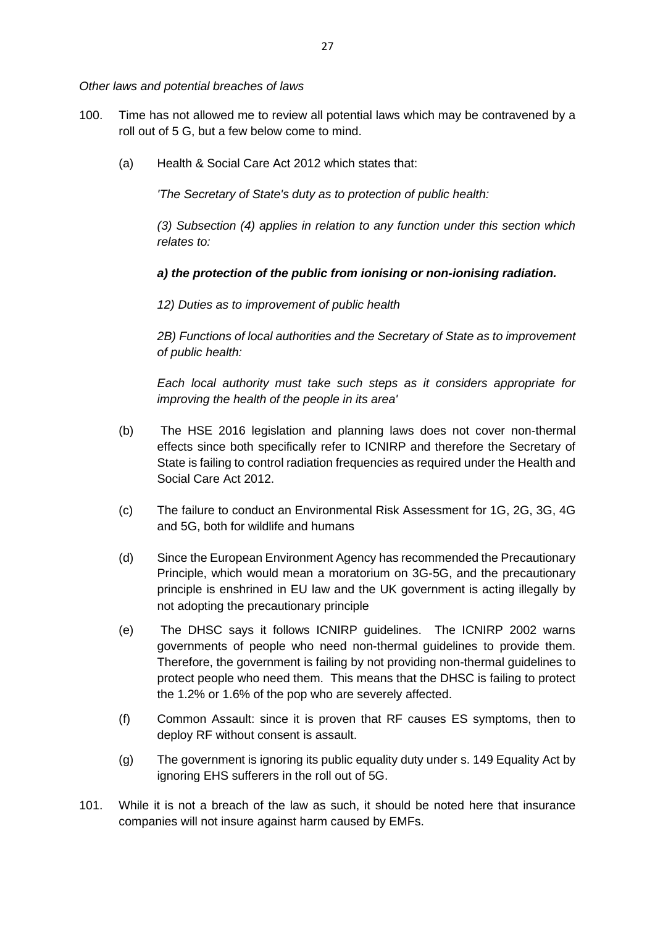*Other laws and potential breaches of laws*

- 100. Time has not allowed me to review all potential laws which may be contravened by a roll out of 5 G, but a few below come to mind.
	- (a) Health & Social Care Act 2012 which states that:

*'The Secretary of State's duty as to protection of public health:*

*(3) Subsection (4) applies in relation to any function under this section which relates to:*

## *a) the protection of the public from ionising or non-ionising radiation.*

*12) Duties as to improvement of public health*

*2B) Functions of local authorities and the Secretary of State as to improvement of public health:*

*Each local authority must take such steps as it considers appropriate for improving the health of the people in its area'*

- (b) The HSE 2016 legislation and planning laws does not cover non-thermal effects since both specifically refer to ICNIRP and therefore the Secretary of State is failing to control radiation frequencies as required under the Health and Social Care Act 2012.
- (c) The failure to conduct an Environmental Risk Assessment for 1G, 2G, 3G, 4G and 5G, both for wildlife and humans
- (d) Since the European Environment Agency has recommended the Precautionary Principle, which would mean a moratorium on 3G-5G, and the precautionary principle is enshrined in EU law and the UK government is acting illegally by not adopting the precautionary principle
- (e) The DHSC says it follows ICNIRP guidelines. The ICNIRP 2002 warns governments of people who need non-thermal guidelines to provide them. Therefore, the government is failing by not providing non-thermal guidelines to protect people who need them. This means that the DHSC is failing to protect the 1.2% or 1.6% of the pop who are severely affected.
- (f) Common Assault: since it is proven that RF causes ES symptoms, then to deploy RF without consent is assault.
- (g) The government is ignoring its public equality duty under s. 149 Equality Act by ignoring EHS sufferers in the roll out of 5G.
- 101. While it is not a breach of the law as such, it should be noted here that insurance companies will not insure against harm caused by EMFs.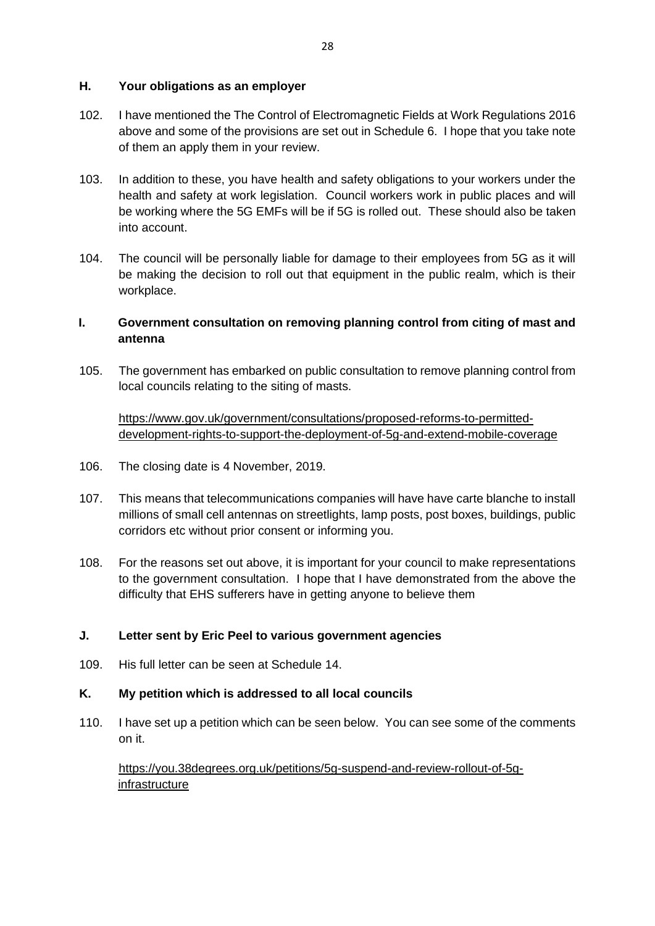## **H. Your obligations as an employer**

- 102. I have mentioned the The Control of Electromagnetic Fields at Work Regulations 2016 above and some of the provisions are set out in Schedule 6. I hope that you take note of them an apply them in your review.
- 103. In addition to these, you have health and safety obligations to your workers under the health and safety at work legislation. Council workers work in public places and will be working where the 5G EMFs will be if 5G is rolled out. These should also be taken into account.
- 104. The council will be personally liable for damage to their employees from 5G as it will be making the decision to roll out that equipment in the public realm, which is their workplace.

# **I. Government consultation on removing planning control from citing of mast and antenna**

105. The government has embarked on public consultation to remove planning control from local councils relating to the siting of masts.

[https://www.gov.uk/government/consultations/proposed-reforms-to-permitted](https://www.gov.uk/government/consultations/proposed-reforms-to-permitted-development-rights-to-support-the-deployment-of-5g-and-extend-mobile-coverage)[development-rights-to-support-the-deployment-of-5g-and-extend-mobile-coverage](https://www.gov.uk/government/consultations/proposed-reforms-to-permitted-development-rights-to-support-the-deployment-of-5g-and-extend-mobile-coverage)

- 106. The closing date is 4 November, 2019.
- 107. This means that telecommunications companies will have have carte blanche to install millions of small cell antennas on streetlights, lamp posts, post boxes, buildings, public corridors etc without prior consent or informing you.
- 108. For the reasons set out above, it is important for your council to make representations to the government consultation. I hope that I have demonstrated from the above the difficulty that EHS sufferers have in getting anyone to believe them

## **J. Letter sent by Eric Peel to various government agencies**

109. His full letter can be seen at Schedule 14.

## **K. My petition which is addressed to all local councils**

110. I have set up a petition which can be seen below. You can see some of the comments on it.

[https://you.38degrees.org.uk/petitions/5g-suspend-and-review-rollout-of-5g](https://you.38degrees.org.uk/petitions/5g-suspend-and-review-rollout-of-5g-infrastructure)[infrastructure](https://you.38degrees.org.uk/petitions/5g-suspend-and-review-rollout-of-5g-infrastructure)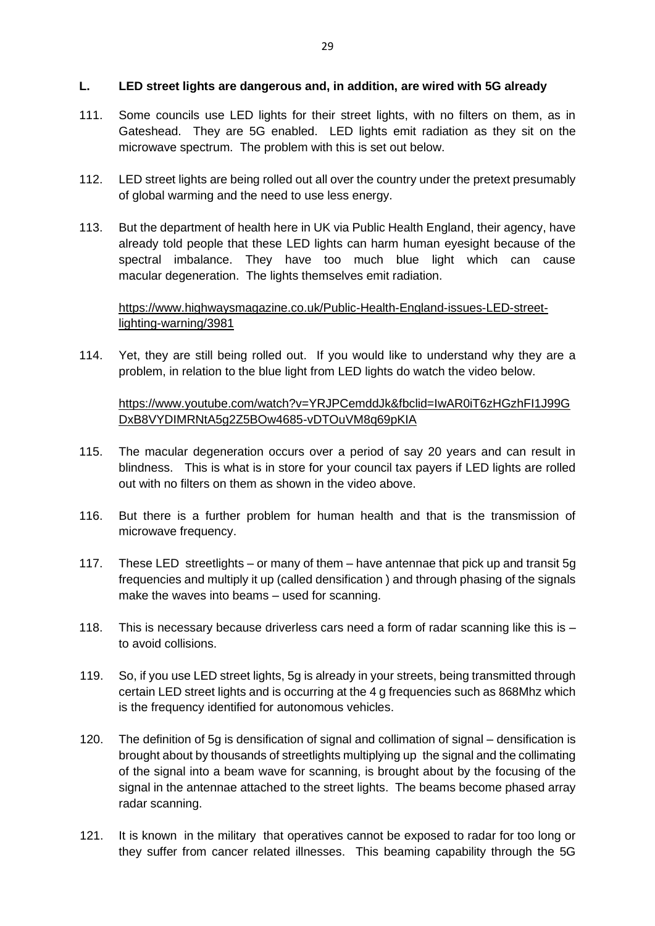## **L. LED street lights are dangerous and, in addition, are wired with 5G already**

- 111. Some councils use LED lights for their street lights, with no filters on them, as in Gateshead. They are 5G enabled. LED lights emit radiation as they sit on the microwave spectrum. The problem with this is set out below.
- 112. LED street lights are being rolled out all over the country under the pretext presumably of global warming and the need to use less energy.
- 113. But the department of health here in UK via Public Health England, their agency, have already told people that these LED lights can harm human eyesight because of the spectral imbalance. They have too much blue light which can cause macular degeneration. The lights themselves emit radiation.

# [https://www.highwaysmagazine.co.uk/Public-Health-England-issues-LED-street](https://www.highwaysmagazine.co.uk/Public-Health-England-issues-LED-street-lighting-warning/3981)[lighting-warning/3981](https://www.highwaysmagazine.co.uk/Public-Health-England-issues-LED-street-lighting-warning/3981)

114. Yet, they are still being rolled out. If you would like to understand why they are a problem, in relation to the blue light from LED lights do watch the video below.

[https://www.youtube.com/watch?v=YRJPCemddJk&fbclid=IwAR0iT6zHGzhFI1J99G](https://www.youtube.com/watch?v=YRJPCemddJk&fbclid=IwAR0iT6zHGzhFI1J99GDxB8VYDIMRNtA5g2Z5BOw4685-vDTOuVM8q69pKIA) [DxB8VYDIMRNtA5g2Z5BOw4685-vDTOuVM8q69pKIA](https://www.youtube.com/watch?v=YRJPCemddJk&fbclid=IwAR0iT6zHGzhFI1J99GDxB8VYDIMRNtA5g2Z5BOw4685-vDTOuVM8q69pKIA)

- 115. The macular degeneration occurs over a period of say 20 years and can result in blindness. This is what is in store for your council tax payers if LED lights are rolled out with no filters on them as shown in the video above.
- 116. But there is a further problem for human health and that is the transmission of microwave frequency.
- 117. These LED streetlights or many of them have antennae that pick up and transit 5g frequencies and multiply it up (called densification ) and through phasing of the signals make the waves into beams – used for scanning.
- 118. This is necessary because driverless cars need a form of radar scanning like this is to avoid collisions.
- 119. So, if you use LED street lights, 5g is already in your streets, being transmitted through certain LED street lights and is occurring at the 4 g frequencies such as 868Mhz which is the frequency identified for autonomous vehicles.
- 120. The definition of 5g is densification of signal and collimation of signal densification is brought about by thousands of streetlights multiplying up the signal and the collimating of the signal into a beam wave for scanning, is brought about by the focusing of the signal in the antennae attached to the street lights. The beams become phased array radar scanning.
- 121. It is known in the military that operatives cannot be exposed to radar for too long or they suffer from cancer related illnesses. This beaming capability through the 5G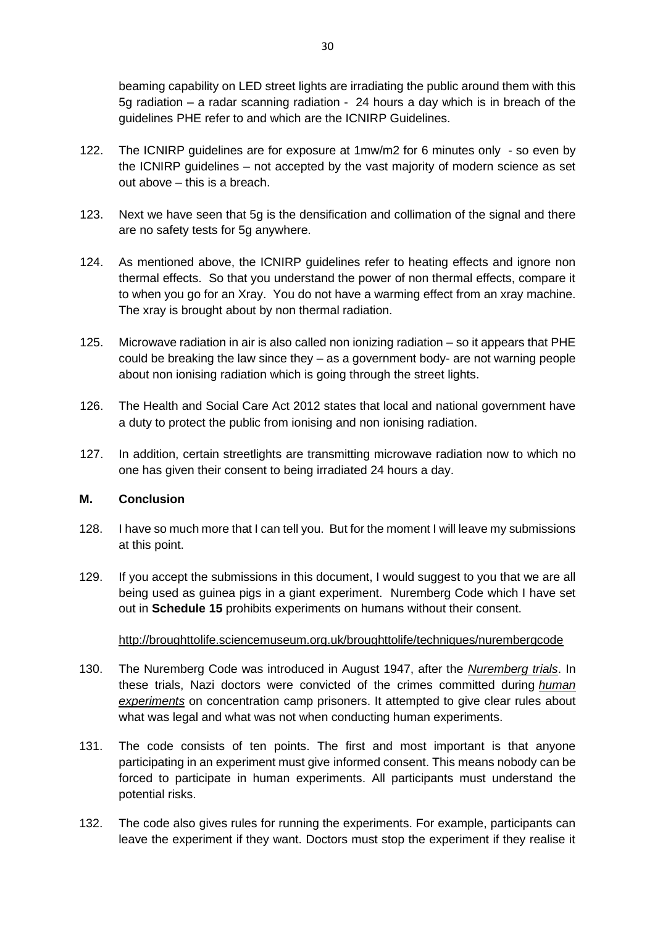beaming capability on LED street lights are irradiating the public around them with this 5g radiation – a radar scanning radiation - 24 hours a day which is in breach of the guidelines PHE refer to and which are the ICNIRP Guidelines.

- 122. The ICNIRP guidelines are for exposure at 1mw/m2 for 6 minutes only so even by the ICNIRP guidelines – not accepted by the vast majority of modern science as set out above – this is a breach.
- 123. Next we have seen that 5g is the densification and collimation of the signal and there are no safety tests for 5g anywhere.
- 124. As mentioned above, the ICNIRP guidelines refer to heating effects and ignore non thermal effects. So that you understand the power of non thermal effects, compare it to when you go for an Xray. You do not have a warming effect from an xray machine. The xray is brought about by non thermal radiation.
- 125. Microwave radiation in air is also called non ionizing radiation so it appears that PHE could be breaking the law since they – as a government body- are not warning people about non ionising radiation which is going through the street lights.
- 126. The Health and Social Care Act 2012 states that local and national government have a duty to protect the public from ionising and non ionising radiation.
- 127. In addition, certain streetlights are transmitting microwave radiation now to which no one has given their consent to being irradiated 24 hours a day.

# **M. Conclusion**

- 128. I have so much more that I can tell you. But for the moment I will leave my submissions at this point.
- 129. If you accept the submissions in this document, I would suggest to you that we are all being used as guinea pigs in a giant experiment. Nuremberg Code which I have set out in **Schedule 15** prohibits experiments on humans without their consent.

## http://broughttolife.sciencemuseum.org.uk/broughttolife/techniques/nurembergcode

- 130. The Nuremberg Code was introduced in August 1947, after the *[Nuremberg trials](http://broughttolife.sciencemuseum.org.uk/broughttolife/techniques/~/link.aspx?_id=3424430C0FD548AC9675D8F1FF5A0F97&_z=z)*. In these trials, Nazi doctors were convicted of the crimes committed during *[human](http://broughttolife.sciencemuseum.org.uk/broughttolife/techniques/~/link.aspx?_id=B23B277840904899BDEC0C2D3A60C10C&_z=z)  [experiments](http://broughttolife.sciencemuseum.org.uk/broughttolife/techniques/~/link.aspx?_id=B23B277840904899BDEC0C2D3A60C10C&_z=z)* on concentration camp prisoners. It attempted to give clear rules about what was legal and what was not when conducting human experiments.
- 131. The code consists of ten points. The first and most important is that anyone participating in an experiment must give [informed consent.](http://broughttolife.sciencemuseum.org.uk/broughttolife/techniques/~/link.aspx?_id=4F9F60EC74834A9C8848076CBB0F51AD&_z=z) This means nobody can be forced to participate in human experiments. All participants must understand the potential risks.
- 132. The code also gives rules for running the experiments. For example, participants can leave the experiment if they want. Doctors must stop the experiment if they realise it